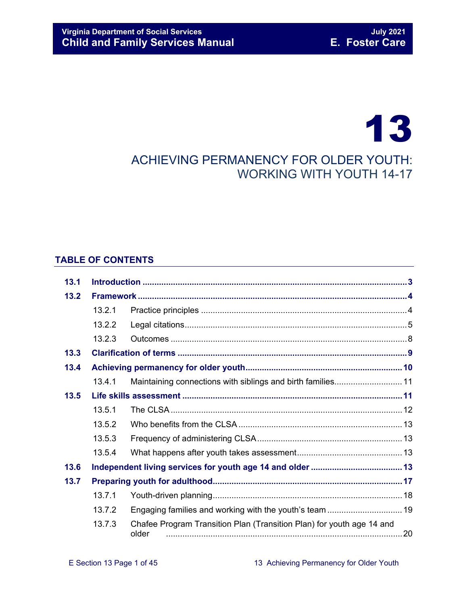# 13 ACHIEVING PERMANENCY FOR OLDER YOUTH: WORKING WITH YOUTH 14-17

## **TABLE OF CONTENTS**

| 13.1 |        |                                                                                |  |  |
|------|--------|--------------------------------------------------------------------------------|--|--|
| 13.2 |        |                                                                                |  |  |
|      | 13.2.1 |                                                                                |  |  |
|      | 13.2.2 |                                                                                |  |  |
|      | 13.2.3 |                                                                                |  |  |
| 13.3 |        |                                                                                |  |  |
| 13.4 |        |                                                                                |  |  |
|      | 13.4.1 | Maintaining connections with siblings and birth families 11                    |  |  |
| 13.5 |        |                                                                                |  |  |
|      | 13.5.1 |                                                                                |  |  |
|      | 13.5.2 |                                                                                |  |  |
|      | 13.5.3 |                                                                                |  |  |
|      | 13.5.4 |                                                                                |  |  |
| 13.6 |        |                                                                                |  |  |
| 13.7 |        |                                                                                |  |  |
|      | 13.7.1 |                                                                                |  |  |
|      | 13.7.2 | Engaging families and working with the youth's team  19                        |  |  |
|      | 13.7.3 | Chafee Program Transition Plan (Transition Plan) for youth age 14 and<br>older |  |  |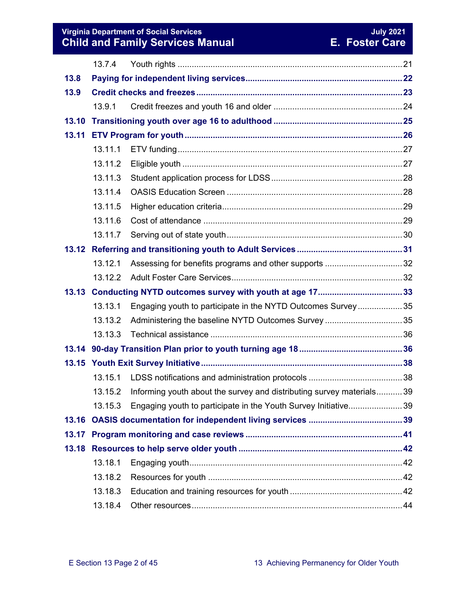#### **The Social Services And American Services And American Services And American Services And American Services An Child and Family Services Manual E. Foster Care**

|       | 13.7.4  |                                                                      |  |  |
|-------|---------|----------------------------------------------------------------------|--|--|
| 13.8  |         |                                                                      |  |  |
| 13.9  |         |                                                                      |  |  |
|       | 13.9.1  |                                                                      |  |  |
| 13.10 |         |                                                                      |  |  |
| 13.11 |         |                                                                      |  |  |
|       | 13.11.1 |                                                                      |  |  |
|       | 13.11.2 |                                                                      |  |  |
|       | 13.11.3 |                                                                      |  |  |
|       | 13.11.4 |                                                                      |  |  |
|       | 13.11.5 |                                                                      |  |  |
|       | 13.11.6 |                                                                      |  |  |
|       | 13.11.7 |                                                                      |  |  |
|       |         |                                                                      |  |  |
|       | 13.12.1 | Assessing for benefits programs and other supports 32                |  |  |
|       | 13.12.2 |                                                                      |  |  |
| 13.13 |         |                                                                      |  |  |
|       | 13.13.1 | Engaging youth to participate in the NYTD Outcomes Survey35          |  |  |
|       | 13.13.2 | Administering the baseline NYTD Outcomes Survey 35                   |  |  |
|       | 13.13.3 |                                                                      |  |  |
|       |         |                                                                      |  |  |
| 13.15 |         |                                                                      |  |  |
|       | 13.15.1 |                                                                      |  |  |
|       | 13.15.2 | Informing youth about the survey and distributing survey materials39 |  |  |
|       | 13.15.3 | Engaging youth to participate in the Youth Survey Initiative39       |  |  |
| 13.16 |         |                                                                      |  |  |
|       |         |                                                                      |  |  |
|       |         |                                                                      |  |  |
|       | 13.18.1 |                                                                      |  |  |
|       | 13.18.2 |                                                                      |  |  |
|       |         |                                                                      |  |  |
|       | 13.18.3 |                                                                      |  |  |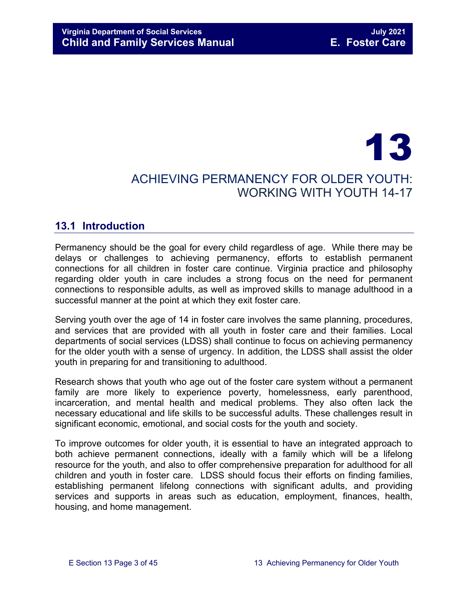## 13 ACHIEVING PERMANENCY FOR OLDER YOUTH: WORKING WITH YOUTH 14-17

## <span id="page-2-0"></span>**13.1 Introduction**

Permanency should be the goal for every child regardless of age. While there may be delays or challenges to achieving permanency, efforts to establish permanent connections for all children in foster care continue. Virginia practice and philosophy regarding older youth in care includes a strong focus on the need for permanent connections to responsible adults, as well as improved skills to manage adulthood in a successful manner at the point at which they exit foster care.

Serving youth over the age of 14 in foster care involves the same planning, procedures, and services that are provided with all youth in foster care and their families. Local departments of social services (LDSS) shall continue to focus on achieving permanency for the older youth with a sense of urgency. In addition, the LDSS shall assist the older youth in preparing for and transitioning to adulthood.

Research shows that youth who age out of the foster care system without a permanent family are more likely to experience poverty, homelessness, early parenthood, incarceration, and mental health and medical problems. They also often lack the necessary educational and life skills to be successful adults. These challenges result in significant economic, emotional, and social costs for the youth and society.

To improve outcomes for older youth, it is essential to have an integrated approach to both achieve permanent connections, ideally with a family which will be a lifelong resource for the youth, and also to offer comprehensive preparation for adulthood for all children and youth in foster care. LDSS should focus their efforts on finding families, establishing permanent lifelong connections with significant adults, and providing services and supports in areas such as education, employment, finances, health, housing, and home management.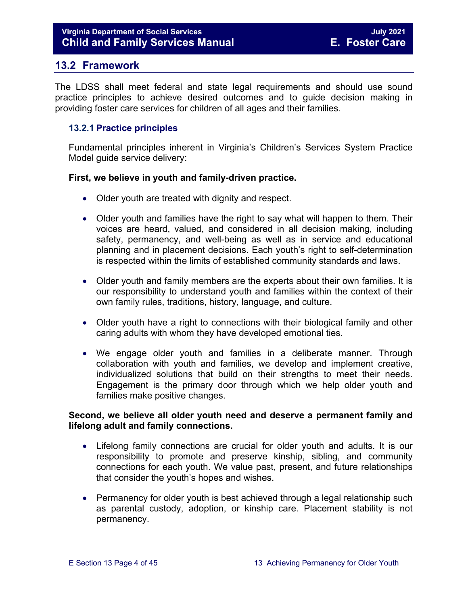## <span id="page-3-0"></span>**13.2 Framework**

The LDSS shall meet federal and state legal requirements and should use sound practice principles to achieve desired outcomes and to guide decision making in providing foster care services for children of all ages and their families.

#### <span id="page-3-1"></span>**13.2.1 Practice principles**

Fundamental principles inherent in Virginia's Children's Services System Practice Model guide service delivery:

#### **First, we believe in youth and family-driven practice.**

- Older youth are treated with dignity and respect.
- Older youth and families have the right to say what will happen to them. Their voices are heard, valued, and considered in all decision making, including safety, permanency, and well-being as well as in service and educational planning and in placement decisions. Each youth's right to self-determination is respected within the limits of established community standards and laws.
- Older youth and family members are the experts about their own families. It is our responsibility to understand youth and families within the context of their own family rules, traditions, history, language, and culture.
- Older youth have a right to connections with their biological family and other caring adults with whom they have developed emotional ties.
- We engage older youth and families in a deliberate manner. Through collaboration with youth and families, we develop and implement creative, individualized solutions that build on their strengths to meet their needs. Engagement is the primary door through which we help older youth and families make positive changes.

#### **Second, we believe all older youth need and deserve a permanent family and lifelong adult and family connections.**

- Lifelong family connections are crucial for older youth and adults. It is our responsibility to promote and preserve kinship, sibling, and community connections for each youth. We value past, present, and future relationships that consider the youth's hopes and wishes.
- Permanency for older youth is best achieved through a legal relationship such as parental custody, adoption, or kinship care. Placement stability is not permanency.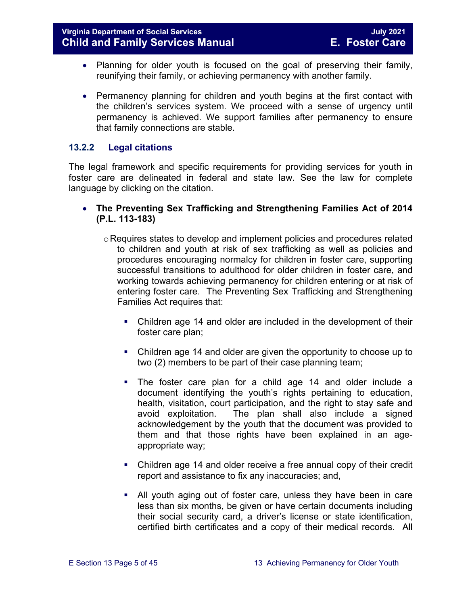- Planning for older youth is focused on the goal of preserving their family, reunifying their family, or achieving permanency with another family.
- Permanency planning for children and youth begins at the first contact with the children's services system. We proceed with a sense of urgency until permanency is achieved. We support families after permanency to ensure that family connections are stable.

#### <span id="page-4-0"></span>**13.2.2 Legal citations**

The legal framework and specific requirements for providing services for youth in foster care are delineated in federal and state law. See the law for complete language by clicking on the citation.

- **The Preventing Sex Trafficking and Strengthening Families Act of 2014 (P.L. 113-183)** 
	- o Requires states to develop and implement policies and procedures related to children and youth at risk of sex trafficking as well as policies and procedures encouraging normalcy for children in foster care, supporting successful transitions to adulthood for older children in foster care, and working towards achieving permanency for children entering or at risk of entering foster care. The Preventing Sex Trafficking and Strengthening Families Act requires that:
		- Children age 14 and older are included in the development of their foster care plan;
		- Children age 14 and older are given the opportunity to choose up to two (2) members to be part of their case planning team;
		- The foster care plan for a child age 14 and older include a document identifying the youth's rights pertaining to education, health, visitation, court participation, and the right to stay safe and avoid exploitation. The plan shall also include a signed acknowledgement by the youth that the document was provided to them and that those rights have been explained in an ageappropriate way;
		- Children age 14 and older receive a free annual copy of their credit report and assistance to fix any inaccuracies; and,
		- All youth aging out of foster care, unless they have been in care less than six months, be given or have certain documents including their social security card, a driver's license or state identification, certified birth certificates and a copy of their medical records. All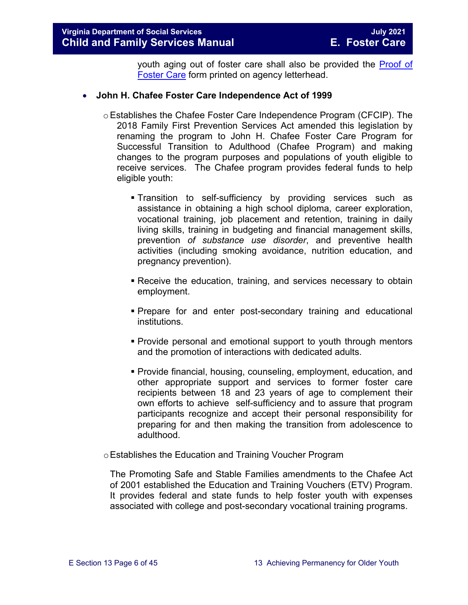youth aging out of foster care shall also be provided the [Proof of](https://fusion.dss.virginia.gov/dfs/DFS-Home/Foster-Care/Foster-Care-Forms)  [Foster Care](https://fusion.dss.virginia.gov/dfs/DFS-Home/Foster-Care/Foster-Care-Forms) form printed on agency letterhead.

#### • **John H. Chafee Foster Care Independence Act of 1999**

- $\circ$  Establishes the Chafee Foster Care Independence Program (CFCIP). The 2018 Family First Prevention Services Act amended this legislation by renaming the program to John H. Chafee Foster Care Program for Successful Transition to Adulthood (Chafee Program) and making changes to the program purposes and populations of youth eligible to receive services. The Chafee program provides federal funds to help eligible youth:
	- Transition to self-sufficiency by providing services such as assistance in obtaining a high school diploma, career exploration, vocational training, job placement and retention, training in daily living skills, training in budgeting and financial management skills, prevention *of substance use disorder*, and preventive health activities (including smoking avoidance, nutrition education, and pregnancy prevention).
	- Receive the education, training, and services necessary to obtain employment.
	- Prepare for and enter post-secondary training and educational institutions.
	- Provide personal and emotional support to youth through mentors and the promotion of interactions with dedicated adults.
	- Provide financial, housing, counseling, employment, education, and other appropriate support and services to former foster care recipients between 18 and 23 years of age to complement their own efforts to achieve self-sufficiency and to assure that program participants recognize and accept their personal responsibility for preparing for and then making the transition from adolescence to adulthood.
- oEstablishes the Education and Training Voucher Program

The Promoting Safe and Stable Families amendments to the Chafee Act of 2001 established the Education and Training Vouchers (ETV) Program. It provides federal and state funds to help foster youth with expenses associated with college and post-secondary vocational training programs.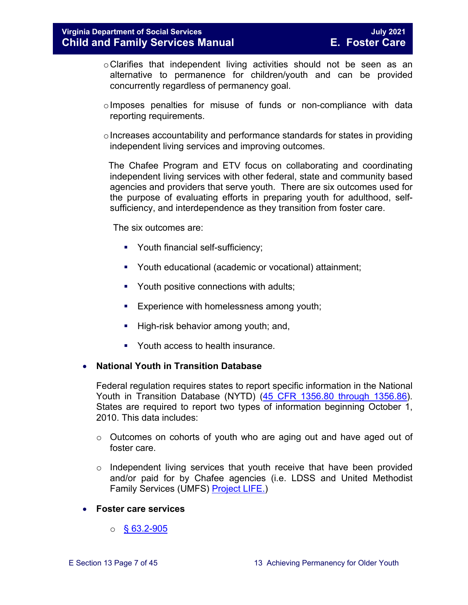- oClarifies that independent living activities should not be seen as an alternative to permanence for children/youth and can be provided concurrently regardless of permanency goal.
- oImposes penalties for misuse of funds or non-compliance with data reporting requirements.
- $\circ$  Increases accountability and performance standards for states in providing independent living services and improving outcomes.

 The Chafee Program and ETV focus on collaborating and coordinating independent living services with other federal, state and community based agencies and providers that serve youth. There are six outcomes used for the purpose of evaluating efforts in preparing youth for adulthood, selfsufficiency, and interdependence as they transition from foster care.

The six outcomes are:

- **Youth financial self-sufficiency;**
- Youth educational (academic or vocational) attainment;
- Youth positive connections with adults;
- **Experience with homelessness among youth;**
- $\blacksquare$  High-risk behavior among youth; and,
- Youth access to health insurance

#### • **National Youth in Transition Database**

Federal regulation requires states to report specific information in the National Youth in Transition Database (NYTD) [\(45 CFR 1356.80 through 1356.86\)](http://www.ecfr.gov/cgi-bin/retrieveECFR?gp=1&SID=3d9be8b33d08994a45cff8aaff9f9476&ty=HTML&h=L&mc=true&r=PART&n=pt45.4.1356). States are required to report two types of information beginning October 1, 2010. This data includes:

- $\circ$  Outcomes on cohorts of youth who are aging out and have aged out of foster care.
- $\circ$  Independent living services that youth receive that have been provided and/or paid for by Chafee agencies (i.e. LDSS and United Methodist Family Services (UMFS) [Project LIFE.](http://www.vaprojectlife.org/))
- **Foster care services** 
	- $\circ$  [§ 63.2-905](https://law.lis.virginia.gov/vacode/title63.2/chapter9/section63.2-905/)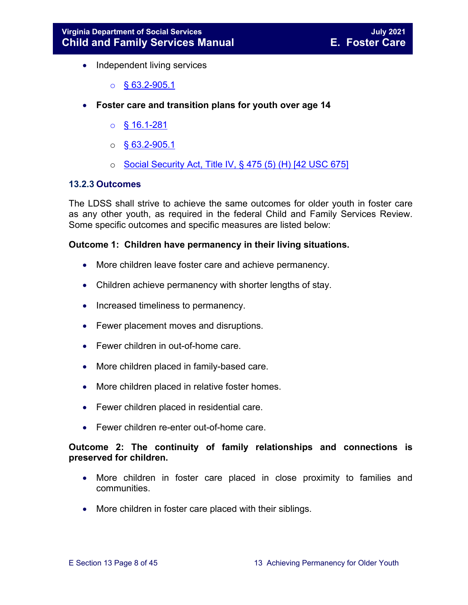- Independent living services
	- $\circ$  § 63.2-905.1
- **Foster care and transition plans for youth over age 14** 
	- $\circ$  [§ 16.1-281](https://law.lis.virginia.gov/vacode/title16.1/chapter11/section16.1-281/)
	- $\circ$  § [63.2-905.1](https://law.lis.virginia.gov/vacode/title63.2/chapter9/section63.2-905.1/)
	- o [Social Security Act, Title IV, § 475 \(5\) \(H\) \[42 USC 675\]](http://www.ssa.gov/OP_Home/ssact/title04/0475.htm)

#### <span id="page-7-0"></span>**13.2.3 Outcomes**

The LDSS shall strive to achieve the same outcomes for older youth in foster care as any other youth, as required in the federal Child and Family Services Review. Some specific outcomes and specific measures are listed below:

#### **Outcome 1: Children have permanency in their living situations.**

- More children leave foster care and achieve permanency.
- Children achieve permanency with shorter lengths of stay.
- Increased timeliness to permanency.
- Fewer placement moves and disruptions.
- Fewer children in out-of-home care.
- More children placed in family-based care.
- More children placed in relative foster homes.
- Fewer children placed in residential care.
- Fewer children re-enter out-of-home care.

#### **Outcome 2: The continuity of family relationships and connections is preserved for children.**

- More children in foster care placed in close proximity to families and communities.
- More children in foster care placed with their siblings.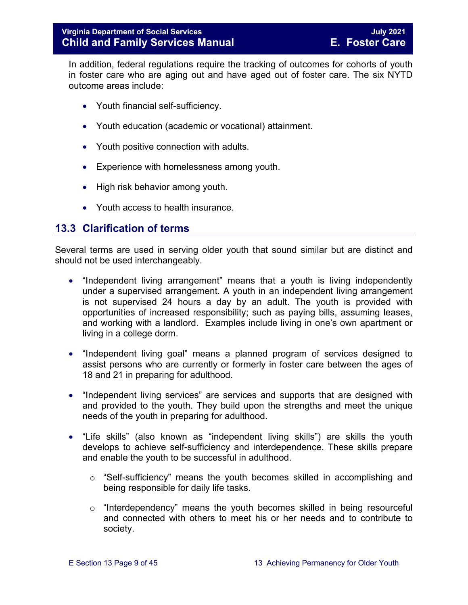In addition, federal regulations require the tracking of outcomes for cohorts of youth in foster care who are aging out and have aged out of foster care. The six NYTD outcome areas include:

- Youth financial self-sufficiency.
- Youth education (academic or vocational) attainment.
- Youth positive connection with adults.
- Experience with homelessness among youth.
- High risk behavior among youth.
- Youth access to health insurance.

## <span id="page-8-0"></span>**13.3 Clarification of terms**

Several terms are used in serving older youth that sound similar but are distinct and should not be used interchangeably.

- "Independent living arrangement" means that a youth is living independently under a supervised arrangement. A youth in an independent living arrangement is not supervised 24 hours a day by an adult. The youth is provided with opportunities of increased responsibility; such as paying bills, assuming leases, and working with a landlord. Examples include living in one's own apartment or living in a college dorm.
- "Independent living goal" means a planned program of services designed to assist persons who are currently or formerly in foster care between the ages of 18 and 21 in preparing for adulthood.
- "Independent living services" are services and supports that are designed with and provided to the youth. They build upon the strengths and meet the unique needs of the youth in preparing for adulthood.
- "Life skills" (also known as "independent living skills") are skills the youth develops to achieve self-sufficiency and interdependence. These skills prepare and enable the youth to be successful in adulthood.
	- $\circ$  "Self-sufficiency" means the youth becomes skilled in accomplishing and being responsible for daily life tasks.
	- o "Interdependency" means the youth becomes skilled in being resourceful and connected with others to meet his or her needs and to contribute to society.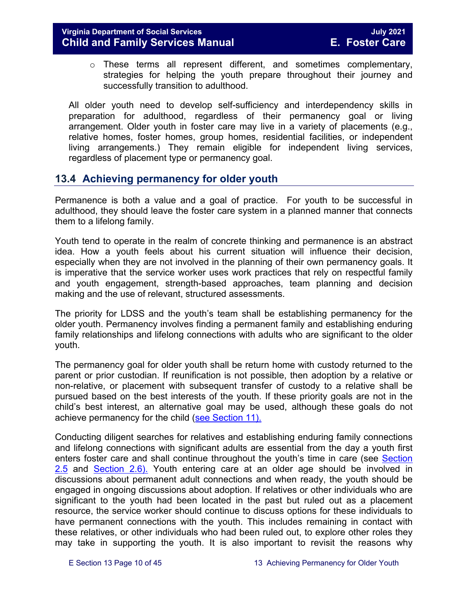o These terms all represent different, and sometimes complementary, strategies for helping the youth prepare throughout their journey and successfully transition to adulthood.

All older youth need to develop self-sufficiency and interdependency skills in preparation for adulthood, regardless of their permanency goal or living arrangement. Older youth in foster care may live in a variety of placements (e.g., relative homes, foster homes, group homes, residential facilities, or independent living arrangements.) They remain eligible for independent living services, regardless of placement type or permanency goal.

## <span id="page-9-0"></span>**13.4 Achieving permanency for older youth**

Permanence is both a value and a goal of practice. For youth to be successful in adulthood, they should leave the foster care system in a planned manner that connects them to a lifelong family.

Youth tend to operate in the realm of concrete thinking and permanence is an abstract idea. How a youth feels about his current situation will influence their decision, especially when they are not involved in the planning of their own permanency goals. It is imperative that the service worker uses work practices that rely on respectful family and youth engagement, strength-based approaches, team planning and decision making and the use of relevant, structured assessments.

The priority for LDSS and the youth's team shall be establishing permanency for the older youth. Permanency involves finding a permanent family and establishing enduring family relationships and lifelong connections with adults who are significant to the older youth.

The permanency goal for older youth shall be return home with custody returned to the parent or prior custodian. If reunification is not possible, then adoption by a relative or non-relative, or placement with subsequent transfer of custody to a relative shall be pursued based on the best interests of the youth. If these priority goals are not in the child's best interest, an alternative goal may be used, although these goals do not achieve permanency for the child [\(see Section 11\).](https://fusion.dss.virginia.gov/Portals/%5bdfs%5d/Files/DFS%20Manuals/Foster%20Care%20Manuals/Foster%20Care%20Manual%2007-2020/Final%20Foster%20Care%20Manual%2007-2020/section_11_alternative_foster_care_goals.pdf) 

Conducting diligent searches for relatives and establishing enduring family connections and lifelong connections with significant adults are essential from the day a youth first enters foster care and shall continue throughout the youth's time in care (see [Section](https://fusion.dss.virginia.gov/Portals/%5bdfs%5d/Files/DFS%20Manuals/Foster%20Care%20Manuals/Foster%20Care%20Manual%2007-2020/Final%20Foster%20Care%20Manual%2007-2020/section_2_engaging_the_child_family_and_significant_adults.pdf#page=10)  [2.5](https://fusion.dss.virginia.gov/Portals/%5bdfs%5d/Files/DFS%20Manuals/Foster%20Care%20Manuals/Foster%20Care%20Manual%2007-2020/Final%20Foster%20Care%20Manual%2007-2020/section_2_engaging_the_child_family_and_significant_adults.pdf#page=10) and [Section](https://fusion.dss.virginia.gov/Portals/%5bdfs%5d/Files/DFS%20Manuals/Foster%20Care%20Manuals/Foster%20Care%20Manual%2007-2020/section_2_engaging_the_child_family_and_significant_adults.pdf#page=13) 2.6). Youth entering care at an older age should be involved in discussions about permanent adult connections and when ready, the youth should be engaged in ongoing discussions about adoption. If relatives or other individuals who are significant to the youth had been located in the past but ruled out as a placement resource, the service worker should continue to discuss options for these individuals to have permanent connections with the youth. This includes remaining in contact with these relatives, or other individuals who had been ruled out, to explore other roles they may take in supporting the youth. It is also important to revisit the reasons why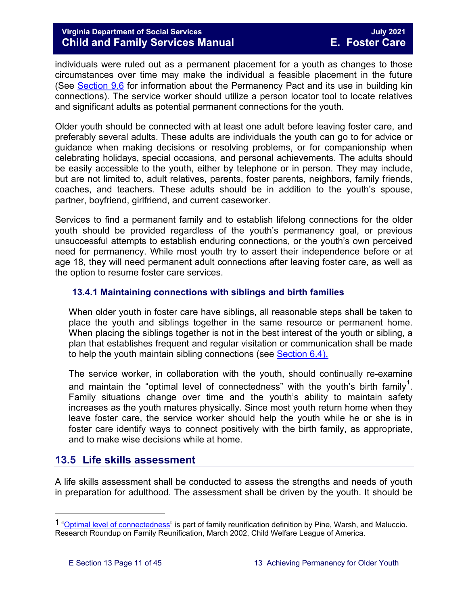individuals were ruled out as a permanent placement for a youth as changes to those circumstances over time may make the individual a feasible placement in the future (See [Section 9.6](https://fusion.dss.virginia.gov/Portals/%5bdfs%5d/Files/DFS%20Manuals/Foster%20Care%20Manuals/Foster%20Care%20Manual%2007-2020/Final%20Foster%20Care%20Manual%2007-2020/section_9_achieving_permanency_goal_adoption.pdf#page=22) for information about the Permanency Pact and its use in building kin connections). The service worker should utilize a person locator tool to locate relatives and significant adults as potential permanent connections for the youth.

Older youth should be connected with at least one adult before leaving foster care, and preferably several adults. These adults are individuals the youth can go to for advice or guidance when making decisions or resolving problems, or for companionship when celebrating holidays, special occasions, and personal achievements. The adults should be easily accessible to the youth, either by telephone or in person. They may include, but are not limited to, adult relatives, parents, foster parents, neighbors, family friends, coaches, and teachers. These adults should be in addition to the youth's spouse, partner, boyfriend, girlfriend, and current caseworker.

Services to find a permanent family and to establish lifelong connections for the older youth should be provided regardless of the youth's permanency goal, or previous unsuccessful attempts to establish enduring connections, or the youth's own perceived need for permanency. While most youth try to assert their independence before or at age 18, they will need permanent adult connections after leaving foster care, as well as the option to resume foster care services.

#### <span id="page-10-0"></span>**13.4.1 Maintaining connections with siblings and birth families**

When older youth in foster care have siblings, all reasonable steps shall be taken to place the youth and siblings together in the same resource or permanent home. When placing the siblings together is not in the best interest of the youth or sibling, a plan that establishes frequent and regular visitation or communication shall be made to help the youth maintain sibling connections (see [Section 6.4\).](https://fusion.dss.virginia.gov/Portals/%5bdfs%5d/Files/DFS%20Manuals/Foster%20Care%20Manuals/Foster%20Care%20Manual%2007-2020/Final%20Foster%20Care%20Manual%2007-2020/section_6_placement_to_achieve_permanency.pdf#page=13) 

The service worker, in collaboration with the youth, should continually re-examine and maintain the "optimal level of connectedness" with the youth's birth family $^{\mathsf{1}}.$  $^{\mathsf{1}}.$  $^{\mathsf{1}}.$ Family situations change over time and the youth's ability to maintain safety increases as the youth matures physically. Since most youth return home when they leave foster care, the service worker should help the youth while he or she is in foster care identify ways to connect positively with the birth family, as appropriate, and to make wise decisions while at home.

## <span id="page-10-1"></span>**13.5 Life skills assessment**

A life skills assessment shall be conducted to assess the strengths and needs of youth in preparation for adulthood. The assessment shall be driven by the youth. It should be

Ĩ.

<span id="page-10-2"></span><sup>&</sup>lt;sup>1</sup> ["Optimal level of connectedness"](http://www.cwla.org/programs/r2p/rrnews0203.pdf) is part of family reunification definition by Pine, Warsh, and Maluccio. Research Roundup on Family Reunification, March 2002, Child Welfare League of America.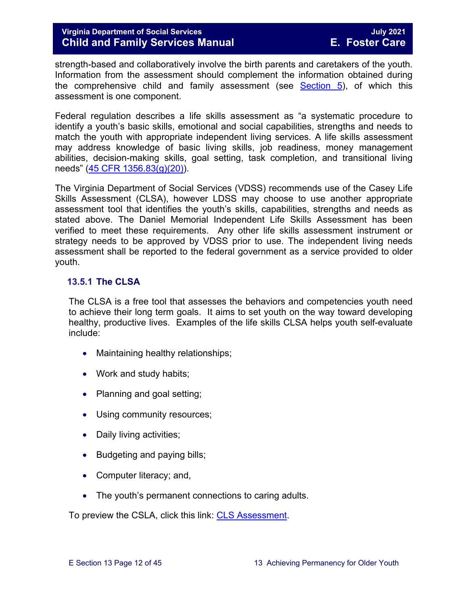strength-based and collaboratively involve the birth parents and caretakers of the youth. Information from the assessment should complement the information obtained during the comprehensive child and family assessment (see [Section 5\)](https://fusion.dss.virginia.gov/Portals/%5bdfs%5d/Files/DFS%20Manuals/Foster%20Care%20Manuals/Foster%20Care%20Manual%2007-2020/section_5_conducting_child_and_family_assessment.pdf), of which this assessment is one component.

Federal regulation describes a life skills assessment as "a systematic procedure to identify a youth's basic skills, emotional and social capabilities, strengths and needs to match the youth with appropriate independent living services. A life skills assessment may address knowledge of basic living skills, job readiness, money management abilities, decision-making skills, goal setting, task completion, and transitional living needs" [\(45 CFR 1356.83\(g\)\(20\)\)](https://www.law.cornell.edu/cfr/text/45/1356.83).

The Virginia Department of Social Services (VDSS) recommends use of the Casey Life Skills Assessment (CLSA), however LDSS may choose to use another appropriate assessment tool that identifies the youth's skills, capabilities, strengths and needs as stated above. The Daniel Memorial Independent Life Skills Assessment has been verified to meet these requirements. Any other life skills assessment instrument or strategy needs to be approved by VDSS prior to use. The independent living needs assessment shall be reported to the federal government as a service provided to older youth.

#### <span id="page-11-0"></span>**13.5.1 The CLSA**

The CLSA is a free tool that assesses the behaviors and competencies youth need to achieve their long term goals. It aims to set youth on the way toward developing healthy, productive lives. Examples of the life skills CLSA helps youth self-evaluate include:

- Maintaining healthy relationships;
- Work and study habits;
- Planning and goal setting;
- Using community resources;
- Daily living activities;
- Budgeting and paying bills;
- Computer literacy; and,
- The youth's permanent connections to caring adults.

To preview the CSLA, click this link: [CLS Assessment.](http://lifeskills.casey.org/)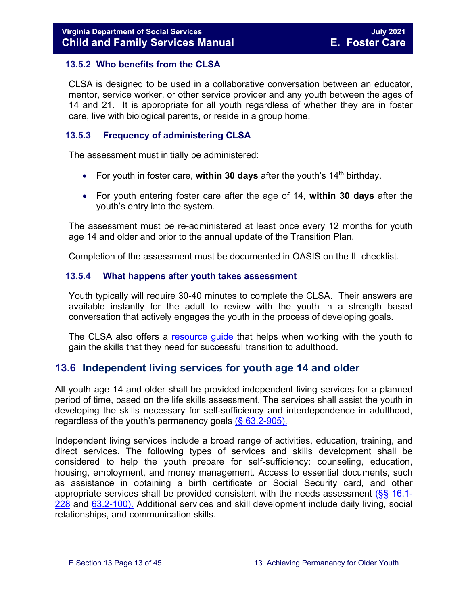#### <span id="page-12-0"></span>**13.5.2 Who benefits from the CLSA**

CLSA is designed to be used in a collaborative conversation between an educator, mentor, service worker, or other service provider and any youth between the ages of 14 and 21. It is appropriate for all youth regardless of whether they are in foster care, live with biological parents, or reside in a group home.

#### <span id="page-12-1"></span>**13.5.3 Frequency of administering CLSA**

The assessment must initially be administered:

- For youth in foster care, **within 30 days** after the youth's 14<sup>th</sup> birthday.
- For youth entering foster care after the age of 14, **within 30 days** after the youth's entry into the system.

The assessment must be re-administered at least once every 12 months for youth age 14 and older and prior to the annual update of the Transition Plan.

Completion of the assessment must be documented in OASIS on the IL checklist.

#### <span id="page-12-2"></span>**13.5.4 What happens after youth takes assessment**

Youth typically will require 30-40 minutes to complete the CLSA. Their answers are available instantly for the adult to review with the youth in a strength based conversation that actively engages the youth in the process of developing goals.

The CLSA also offers a [resource guide](http://www.casey.org/Resources/Tools/cls/default.htm) that helps when working with the youth to gain the skills that they need for successful transition to adulthood.

## <span id="page-12-3"></span>**13.6 Independent living services for youth age 14 and older**

All youth age 14 and older shall be provided independent living services for a planned period of time, based on the life skills assessment. The services shall assist the youth in developing the skills necessary for self-sufficiency and interdependence in adulthood, regardless of the youth's permanency goals  $(863.2-905)$ .

Independent living services include a broad range of activities, education, training, and direct services. The following types of services and skills development shall be considered to help the youth prepare for self-sufficiency: counseling, education, housing, employment, and money management. Access to essential documents, such as assistance in obtaining a birth certificate or Social Security card, and other appropriate services shall be provided consistent with the needs assessment [\(§§ 16.1-](https://law.lis.virginia.gov/vacode/16.1-228/) [228](https://law.lis.virginia.gov/vacode/16.1-228/) and [63.2-100\).](https://law.lis.virginia.gov/vacode/63.2-100/) Additional services and skill development include daily living, social relationships, and communication skills.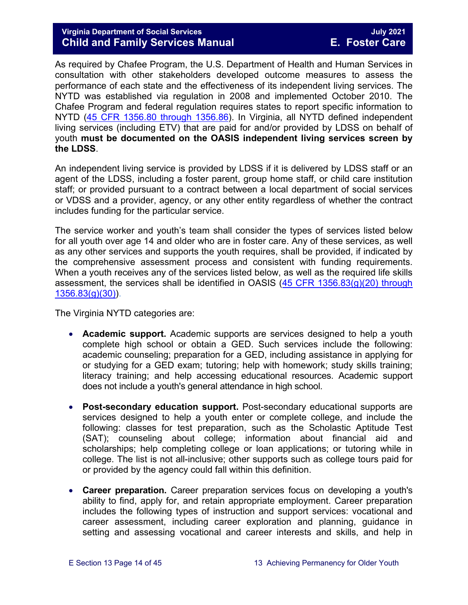#### **Virginia Department of Social Services July 2021 Child and Family Services Manual**

As required by Chafee Program, the U.S. Department of Health and Human Services in consultation with other stakeholders developed outcome measures to assess the performance of each state and the effectiveness of its independent living services. The NYTD was established via regulation in 2008 and implemented October 2010. The Chafee Program and federal regulation requires states to report specific information to NYTD [\(45 CFR 1356.80 through 1356.86\)](https://www.law.cornell.edu/cfr/text/45/1356.80). In Virginia, all NYTD defined independent living services (including ETV) that are paid for and/or provided by LDSS on behalf of youth **must be documented on the OASIS independent living services screen by the LDSS**.

An independent living service is provided by LDSS if it is delivered by LDSS staff or an agent of the LDSS, including a foster parent, group home staff, or child care institution staff; or provided pursuant to a contract between a local department of social services or VDSS and a provider, agency, or any other entity regardless of whether the contract includes funding for the particular service.

The service worker and youth's team shall consider the types of services listed below for all youth over age 14 and older who are in foster care. Any of these services, as well as any other services and supports the youth requires, shall be provided, if indicated by the comprehensive assessment process and consistent with funding requirements. When a youth receives any of the services listed below, as well as the required life skills assessment, the services shall be identified in OASIS  $(45$  CFR  $1356.83(g)(20)$  through  $1356.83(g)(30)$ .

The Virginia NYTD categories are:

- **Academic support.** Academic supports are services designed to help a youth complete high school or obtain a GED. Such services include the following: academic counseling; preparation for a GED, including assistance in applying for or studying for a GED exam; tutoring; help with homework; study skills training; literacy training; and help accessing educational resources. Academic support does not include a youth's general attendance in high school.
- **Post-secondary education support.** Post-secondary educational supports are services designed to help a youth enter or complete college, and include the following: classes for test preparation, such as the Scholastic Aptitude Test (SAT); counseling about college; information about financial aid and scholarships; help completing college or loan applications; or tutoring while in college. The list is not all-inclusive; other supports such as college tours paid for or provided by the agency could fall within this definition.
- **Career preparation.** Career preparation services focus on developing a youth's ability to find, apply for, and retain appropriate employment. Career preparation includes the following types of instruction and support services: vocational and career assessment, including career exploration and planning, guidance in setting and assessing vocational and career interests and skills, and help in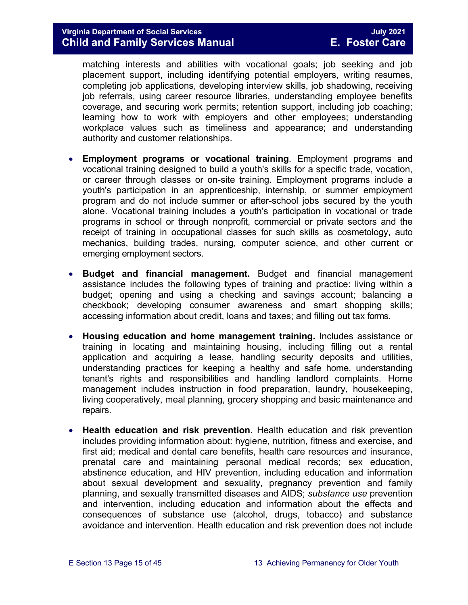matching interests and abilities with vocational goals; job seeking and job placement support, including identifying potential employers, writing resumes, completing job applications, developing interview skills, job shadowing, receiving job referrals, using career resource libraries, understanding employee benefits coverage, and securing work permits; retention support, including job coaching; learning how to work with employers and other employees; understanding workplace values such as timeliness and appearance; and understanding authority and customer relationships.

- **Employment programs or vocational training**. Employment programs and vocational training designed to build a youth's skills for a specific trade, vocation, or career through classes or on-site training. Employment programs include a youth's participation in an apprenticeship, internship, or summer employment program and do not include summer or after-school jobs secured by the youth alone. Vocational training includes a youth's participation in vocational or trade programs in school or through nonprofit, commercial or private sectors and the receipt of training in occupational classes for such skills as cosmetology, auto mechanics, building trades, nursing, computer science, and other current or emerging employment sectors.
- **Budget and financial management.** Budget and financial management assistance includes the following types of training and practice: living within a budget; opening and using a checking and savings account; balancing a checkbook; developing consumer awareness and smart shopping skills; accessing information about credit, loans and taxes; and filling out tax forms.
- **Housing education and home management training.** Includes assistance or training in locating and maintaining housing, including filling out a rental application and acquiring a lease, handling security deposits and utilities, understanding practices for keeping a healthy and safe home, understanding tenant's rights and responsibilities and handling landlord complaints. Home management includes instruction in food preparation, laundry, housekeeping, living cooperatively, meal planning, grocery shopping and basic maintenance and repairs.
- **Health education and risk prevention.** Health education and risk prevention includes providing information about: hygiene, nutrition, fitness and exercise, and first aid; medical and dental care benefits, health care resources and insurance, prenatal care and maintaining personal medical records; sex education, abstinence education, and HIV prevention, including education and information about sexual development and sexuality, pregnancy prevention and family planning, and sexually transmitted diseases and AIDS; *substance use* prevention and intervention, including education and information about the effects and consequences of substance use (alcohol, drugs, tobacco) and substance avoidance and intervention. Health education and risk prevention does not include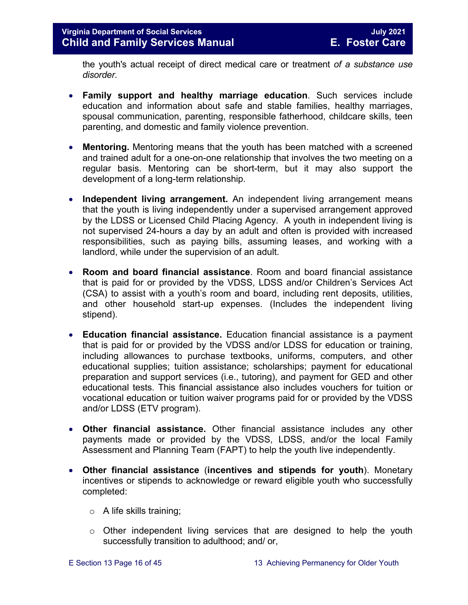the youth's actual receipt of direct medical care or treatment *of a substance use disorder*.

- **Family support and healthy marriage education**. Such services include education and information about safe and stable families, healthy marriages, spousal communication, parenting, responsible fatherhood, childcare skills, teen parenting, and domestic and family violence prevention.
- **Mentoring.** Mentoring means that the youth has been matched with a screened and trained adult for a one-on-one relationship that involves the two meeting on a regular basis. Mentoring can be short-term, but it may also support the development of a long-term relationship.
- **Independent living arrangement.** An independent living arrangement means that the youth is living independently under a supervised arrangement approved by the LDSS or Licensed Child Placing Agency. A youth in independent living is not supervised 24-hours a day by an adult and often is provided with increased responsibilities, such as paying bills, assuming leases, and working with a landlord, while under the supervision of an adult.
- **Room and board financial assistance**. Room and board financial assistance that is paid for or provided by the VDSS, LDSS and/or Children's Services Act (CSA) to assist with a youth's room and board, including rent deposits, utilities, and other household start-up expenses. (Includes the independent living stipend).
- **Education financial assistance.** Education financial assistance is a payment that is paid for or provided by the VDSS and/or LDSS for education or training, including allowances to purchase textbooks, uniforms, computers, and other educational supplies; tuition assistance; scholarships; payment for educational preparation and support services (i.e., tutoring), and payment for GED and other educational tests. This financial assistance also includes vouchers for tuition or vocational education or tuition waiver programs paid for or provided by the VDSS and/or LDSS (ETV program).
- **Other financial assistance.** Other financial assistance includes any other payments made or provided by the VDSS, LDSS, and/or the local Family Assessment and Planning Team (FAPT) to help the youth live independently.
- **Other financial assistance** (**incentives and stipends for youth**). Monetary incentives or stipends to acknowledge or reward eligible youth who successfully completed:
	- $\circ$  A life skills training;
	- o Other independent living services that are designed to help the youth successfully transition to adulthood; and/ or,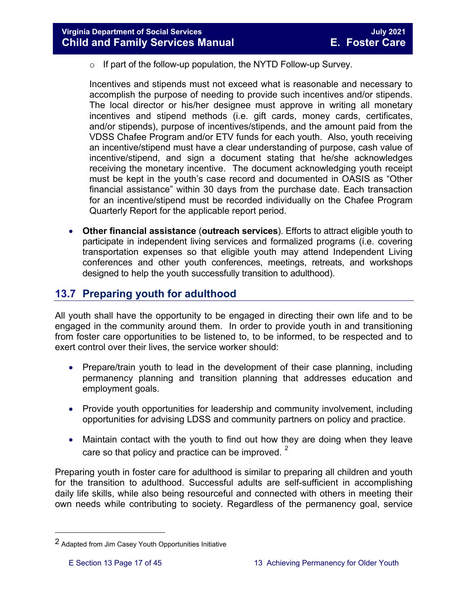$\circ$  If part of the follow-up population, the NYTD Follow-up Survey.

Incentives and stipends must not exceed what is reasonable and necessary to accomplish the purpose of needing to provide such incentives and/or stipends. The local director or his/her designee must approve in writing all monetary incentives and stipend methods (i.e. gift cards, money cards, certificates, and/or stipends), purpose of incentives/stipends, and the amount paid from the VDSS Chafee Program and/or ETV funds for each youth. Also, youth receiving an incentive/stipend must have a clear understanding of purpose, cash value of incentive/stipend, and sign a document stating that he/she acknowledges receiving the monetary incentive. The document acknowledging youth receipt must be kept in the youth's case record and documented in OASIS as "Other financial assistance" within 30 days from the purchase date. Each transaction for an incentive/stipend must be recorded individually on the Chafee Program Quarterly Report for the applicable report period.

• **Other financial assistance** (**outreach services**). Efforts to attract eligible youth to participate in independent living services and formalized programs (i.e. covering transportation expenses so that eligible youth may attend Independent Living conferences and other youth conferences, meetings, retreats, and workshops designed to help the youth successfully transition to adulthood).

## <span id="page-16-0"></span>**13.7 Preparing youth for adulthood**

All youth shall have the opportunity to be engaged in directing their own life and to be engaged in the community around them. In order to provide youth in and transitioning from foster care opportunities to be listened to, to be informed, to be respected and to exert control over their lives, the service worker should:

- Prepare/train youth to lead in the development of their case planning, including permanency planning and transition planning that addresses education and employment goals.
- Provide youth opportunities for leadership and community involvement, including opportunities for advising LDSS and community partners on policy and practice.
- Maintain contact with the youth to find out how they are doing when they leave care so that policy and practice can be improved.  $2^2$  $2^2$

Preparing youth in foster care for adulthood is similar to preparing all children and youth for the transition to adulthood. Successful adults are self-sufficient in accomplishing daily life skills, while also being resourceful and connected with others in meeting their own needs while contributing to society. Regardless of the permanency goal, service

Ĩ.

<span id="page-16-1"></span><sup>2</sup> Adapted from Jim Casey Youth Opportunities Initiative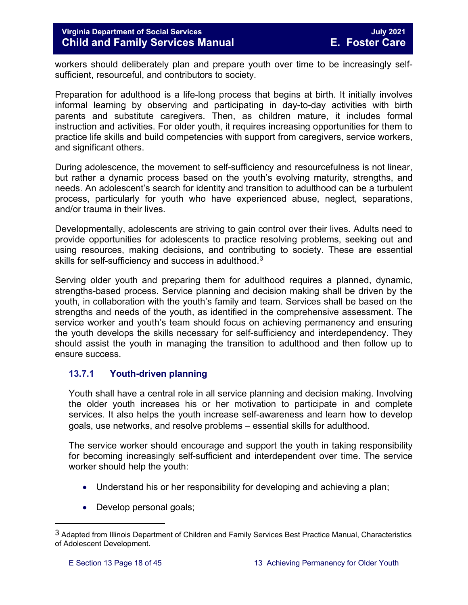workers should deliberately plan and prepare youth over time to be increasingly selfsufficient, resourceful, and contributors to society.

Preparation for adulthood is a life-long process that begins at birth. It initially involves informal learning by observing and participating in day-to-day activities with birth parents and substitute caregivers. Then, as children mature, it includes formal instruction and activities. For older youth, it requires increasing opportunities for them to practice life skills and build competencies with support from caregivers, service workers, and significant others.

During adolescence, the movement to self-sufficiency and resourcefulness is not linear, but rather a dynamic process based on the youth's evolving maturity, strengths, and needs. An adolescent's search for identity and transition to adulthood can be a turbulent process, particularly for youth who have experienced abuse, neglect, separations, and/or trauma in their lives.

Developmentally, adolescents are striving to gain control over their lives. Adults need to provide opportunities for adolescents to practice resolving problems, seeking out and using resources, making decisions, and contributing to society. These are essential skills for self-sufficiency and success in adulthood.<sup>[3](#page-17-1)</sup>

Serving older youth and preparing them for adulthood requires a planned, dynamic, strengths-based process. Service planning and decision making shall be driven by the youth, in collaboration with the youth's family and team. Services shall be based on the strengths and needs of the youth, as identified in the comprehensive assessment. The service worker and youth's team should focus on achieving permanency and ensuring the youth develops the skills necessary for self-sufficiency and interdependency. They should assist the youth in managing the transition to adulthood and then follow up to ensure success.

#### <span id="page-17-0"></span>**13.7.1 Youth-driven planning**

Youth shall have a central role in all service planning and decision making. Involving the older youth increases his or her motivation to participate in and complete services. It also helps the youth increase self-awareness and learn how to develop goals, use networks, and resolve problems – essential skills for adulthood.

The service worker should encourage and support the youth in taking responsibility for becoming increasingly self-sufficient and interdependent over time. The service worker should help the youth:

- Understand his or her responsibility for developing and achieving a plan;
- Develop personal goals;

ī

<span id="page-17-1"></span><sup>3</sup> Adapted from Illinois Department of Children and Family Services Best Practice Manual, Characteristics of Adolescent Development.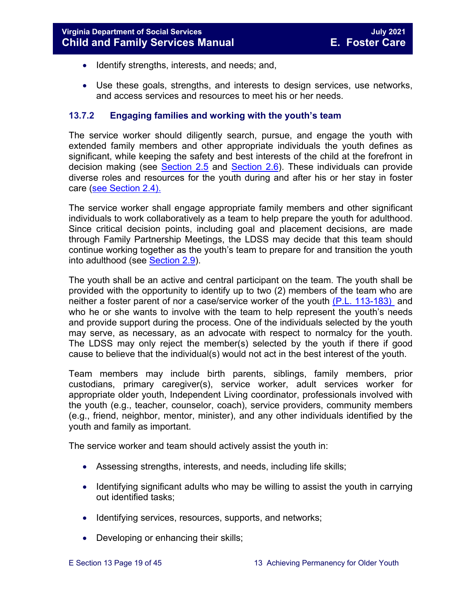- Identify strengths, interests, and needs; and,
- Use these goals, strengths, and interests to design services, use networks, and access services and resources to meet his or her needs.

#### <span id="page-18-0"></span>**13.7.2 Engaging families and working with the youth's team**

The service worker should diligently search, pursue, and engage the youth with extended family members and other appropriate individuals the youth defines as significant, while keeping the safety and best interests of the child at the forefront in decision making (see [Section](https://fusion.dss.virginia.gov/Portals/%5bdfs%5d/Files/DFS%20Manuals/Foster%20Care%20Manuals/Foster%20Care%20Manual%2007-2020/Final%20Foster%20Care%20Manual%2007-2020/section_2_engaging_the_child_family_and_significant_adults.pdf#page=10) 2.5 and [Section](https://fusion.dss.virginia.gov/Portals/%5bdfs%5d/Files/DFS%20Manuals/Foster%20Care%20Manuals/Foster%20Care%20Manual%2007-2020/Final%20Foster%20Care%20Manual%2007-2020/section_2_engaging_the_child_family_and_significant_adults.pdf#page=13) 2.6). These individuals can provide diverse roles and resources for the youth during and after his or her stay in foster care [\(see Section](https://fusion.dss.virginia.gov/Portals/%5bdfs%5d/Files/DFS%20Manuals/Foster%20Care%20Manuals/Foster%20Care%20Manual%2007-2020/Final%20Foster%20Care%20Manual%2007-2020/section_2_engaging_the_child_family_and_significant_adults.pdf#page=8) 2.4).

The service worker shall engage appropriate family members and other significant individuals to work collaboratively as a team to help prepare the youth for adulthood. Since critical decision points, including goal and placement decisions, are made through Family Partnership Meetings, the LDSS may decide that this team should continue working together as the youth's team to prepare for and transition the youth into adulthood (see [Section 2.9\)](https://fusion.dss.virginia.gov/Portals/%5bdfs%5d/Files/DFS%20Manuals/Foster%20Care%20Manuals/Foster%20Care%20Manual%2007-2020/section_2_engaging_the_child_family_and_significant_adults.pdf#page=19).

The youth shall be an active and central participant on the team. The youth shall be provided with the opportunity to identify up to two (2) members of the team who are neither a foster parent of nor a case/service worker of the youth [\(P.L. 113-183\)](https://www.congress.gov/113/plaws/publ183/PLAW-113publ183.pdf) and who he or she wants to involve with the team to help represent the youth's needs and provide support during the process. One of the individuals selected by the youth may serve, as necessary, as an advocate with respect to normalcy for the youth. The LDSS may only reject the member(s) selected by the youth if there if good cause to believe that the individual(s) would not act in the best interest of the youth.

Team members may include birth parents, siblings, family members, prior custodians, primary caregiver(s), service worker, adult services worker for appropriate older youth, Independent Living coordinator, professionals involved with the youth (e.g., teacher, counselor, coach), service providers, community members (e.g., friend, neighbor, mentor, minister), and any other individuals identified by the youth and family as important.

The service worker and team should actively assist the youth in:

- Assessing strengths, interests, and needs, including life skills;
- Identifying significant adults who may be willing to assist the youth in carrying out identified tasks;
- Identifying services, resources, supports, and networks;
- Developing or enhancing their skills;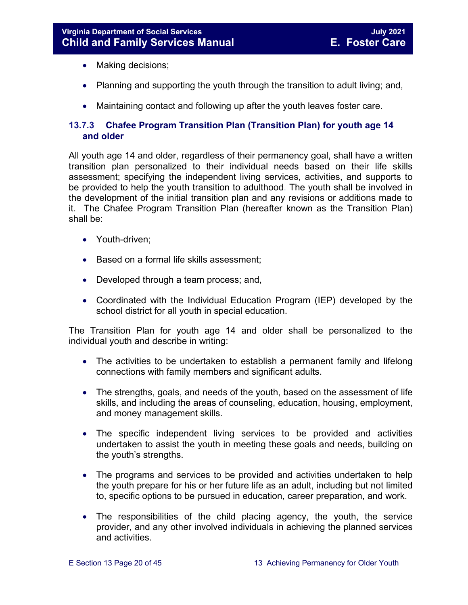- Making decisions;
- Planning and supporting the youth through the transition to adult living; and,
- <span id="page-19-0"></span>• Maintaining contact and following up after the youth leaves foster care.

#### <span id="page-19-1"></span>**13.7.3 Chafee Program Transition Plan (Transition Plan) for youth age 14 and older**

All youth age 14 and older, regardless of their permanency goal, shall have a written transition plan personalized to their individual needs based on their life skills assessment; specifying the independent living services, activities, and supports to be provided to help the youth transition to adulthood. The youth shall be involved in the development of the initial transition plan and any revisions or additions made to it. The Chafee Program Transition Plan (hereafter known as the Transition Plan) shall be:

- Youth-driven;
- Based on a formal life skills assessment;
- Developed through a team process; and,
- Coordinated with the Individual Education Program (IEP) developed by the school district for all youth in special education.

The Transition Plan for youth age 14 and older shall be personalized to the individual youth and describe in writing:

- The activities to be undertaken to establish a permanent family and lifelong connections with family members and significant adults.
- The strengths, goals, and needs of the youth, based on the assessment of life skills, and including the areas of counseling, education, housing, employment, and money management skills.
- The specific independent living services to be provided and activities undertaken to assist the youth in meeting these goals and needs, building on the youth's strengths.
- The programs and services to be provided and activities undertaken to help the youth prepare for his or her future life as an adult, including but not limited to, specific options to be pursued in education, career preparation, and work.
- The responsibilities of the child placing agency, the youth, the service provider, and any other involved individuals in achieving the planned services and activities.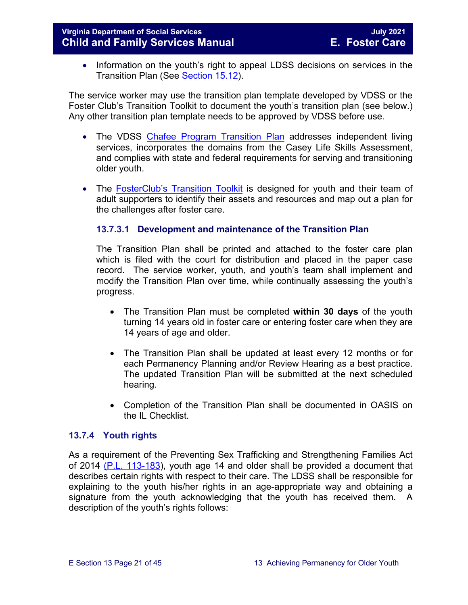• Information on the youth's right to appeal LDSS decisions on services in the Transition Plan (See [Section 15.12\)](https://fusion.dss.virginia.gov/Portals/%5bdfs%5d/Files/DFS%20Manuals/Foster%20Care%20Manuals/Foster%20Care%20Manual%2007-2020/section_15_developing_service_plan.pdf#page=17).

The service worker may use the transition plan template developed by VDSS or the Foster Club's Transition Toolkit to document the youth's transition plan (see below.) Any other transition plan template needs to be approved by VDSS before use.

- The VDSS [Chafee](https://fusion.dss.virginia.gov/Portals/%5Bdfs%5D/Files/DFS%20FORMS/Foster%20Care%20Forms/Independent%20Living%20Transition%20Plan.pdf) Program Transition Plan addresses independent living services, incorporates the domains from the Casey Life Skills Assessment, and complies with state and federal requirements for serving and transitioning older youth.
- The **[FosterClub's Transition Toolkit](https://www.fosterclub.com/_transition/article/transition-toolkit)** is designed for youth and their team of adult supporters to identify their assets and resources and map out a plan for the challenges after foster care.

#### **13.7.3.1 Development and maintenance of the Transition Plan**

The Transition Plan shall be printed and attached to the foster care plan which is filed with the court for distribution and placed in the paper case record. The service worker, youth, and youth's team shall implement and modify the Transition Plan over time, while continually assessing the youth's progress.

- The Transition Plan must be completed **within 30 days** of the youth turning 14 years old in foster care or entering foster care when they are 14 years of age and older.
- The Transition Plan shall be updated at least every 12 months or for each Permanency Planning and/or Review Hearing as a best practice. The updated Transition Plan will be submitted at the next scheduled hearing.
- Completion of the Transition Plan shall be documented in OASIS on the IL Checklist.

#### <span id="page-20-0"></span>**13.7.4 Youth rights**

As a requirement of the Preventing Sex Trafficking and Strengthening Families Act of 2014 [\(P.L. 113-183\)](https://www.congress.gov/113/plaws/publ183/PLAW-113publ183.pdf), youth age 14 and older shall be provided a document that describes certain rights with respect to their care. The LDSS shall be responsible for explaining to the youth his/her rights in an age-appropriate way and obtaining a signature from the youth acknowledging that the youth has received them. A description of the youth's rights follows: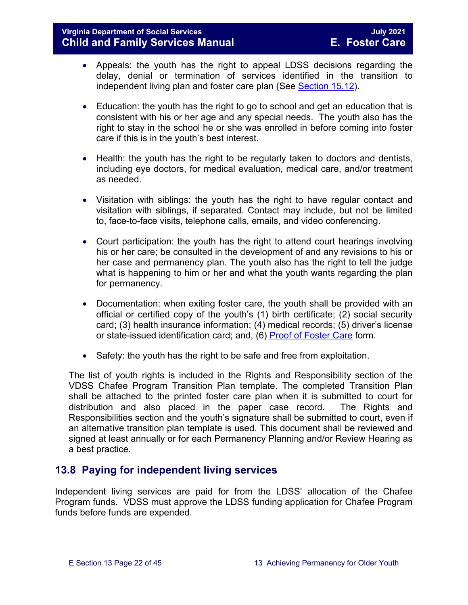#### **Virginia Department of Social Services July 2021 Child and Family Services Manual**

- Appeals: the youth has the right to appeal LDSS decisions regarding the delay, denial or termination of services identified in the transition to independent living plan and foster care plan **(**See [Section 15.12\)](https://fusion.dss.virginia.gov/Portals/%5bdfs%5d/Files/DFS%20Manuals/Foster%20Care%20Manuals/Foster%20Care%20Manual%2007-2020/Final%20Foster%20Care%20Manual%2007-2020/section_15_developing_service_plan.pdf#page=17).
- Education: the youth has the right to go to school and get an education that is consistent with his or her age and any special needs. The youth also has the right to stay in the school he or she was enrolled in before coming into foster care if this is in the youth's best interest.
- Health: the youth has the right to be regularly taken to doctors and dentists, including eye doctors, for medical evaluation, medical care, and/or treatment as needed.
- Visitation with siblings: the youth has the right to have regular contact and visitation with siblings, if separated. Contact may include, but not be limited to, face-to-face visits, telephone calls, emails, and video conferencing.
- Court participation: the youth has the right to attend court hearings involving his or her care; be consulted in the development of and any revisions to his or her case and permanency plan. The youth also has the right to tell the judge what is happening to him or her and what the youth wants regarding the plan for permanency.
- Documentation: when exiting foster care, the youth shall be provided with an official or certified copy of the youth's (1) birth certificate; (2) social security card; (3) health insurance information; (4) medical records; (5) driver's license or state-issued identification card; and, (6) [Proof of Foster Care](https://fusion.dss.virginia.gov/dfs/DFS-Home/Foster-Care/Foster-Care-Forms) form.
- Safety: the youth has the right to be safe and free from exploitation.

The list of youth rights is included in the Rights and Responsibility section of the VDSS Chafee Program Transition Plan template. The completed Transition Plan shall be attached to the printed foster care plan when it is submitted to court for distribution and also placed in the paper case record. The Rights and Responsibilities section and the youth's signature shall be submitted to court, even if an alternative transition plan template is used. This document shall be reviewed and signed at least annually or for each Permanency Planning and/or Review Hearing as a best practice.

## <span id="page-21-0"></span>**13.8 Paying for independent living services**

Independent living services are paid for from the LDSS' allocation of the Chafee Program funds. VDSS must approve the LDSS funding application for Chafee Program funds before funds are expended.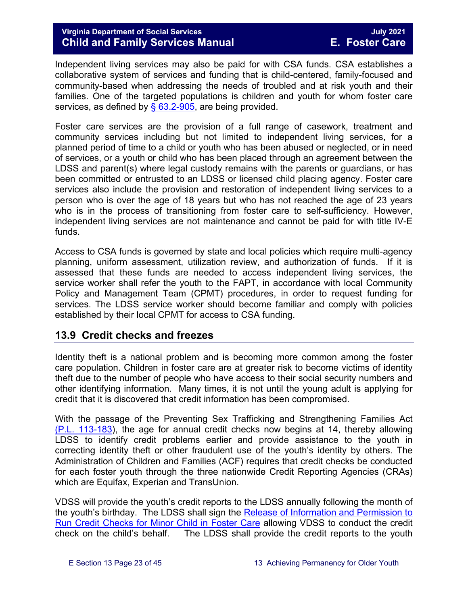Independent living services may also be paid for with CSA funds. CSA establishes a collaborative system of services and funding that is child-centered, family-focused and community-based when addressing the needs of troubled and at risk youth and their families. One of the targeted populations is children and youth for whom foster care services, as defined by  $\S$  63.2-905, are being provided.

Foster care services are the provision of a full range of casework, treatment and community services including but not limited to independent living services, for a planned period of time to a child or youth who has been abused or neglected, or in need of services, or a youth or child who has been placed through an agreement between the LDSS and parent(s) where legal custody remains with the parents or guardians, or has been committed or entrusted to an LDSS or licensed child placing agency. Foster care services also include the provision and restoration of independent living services to a person who is over the age of 18 years but who has not reached the age of 23 years who is in the process of transitioning from foster care to self-sufficiency. However, independent living services are not maintenance and cannot be paid for with title IV-E funds.

Access to CSA funds is governed by state and local policies which require multi-agency planning, uniform assessment, utilization review, and authorization of funds. If it is assessed that these funds are needed to access independent living services, the service worker shall refer the youth to the FAPT, in accordance with local Community Policy and Management Team (CPMT) procedures, in order to request funding for services. The LDSS service worker should become familiar and comply with policies established by their local CPMT for access to CSA funding.

## <span id="page-22-0"></span>**13.9 Credit checks and freezes**

Identity theft is a national problem and is becoming more common among the foster care population. Children in foster care are at greater risk to become victims of identity theft due to the number of people who have access to their social security numbers and other identifying information. Many times, it is not until the young adult is applying for credit that it is discovered that credit information has been compromised.

With the passage of the Preventing Sex Trafficking and Strengthening Families Act [\(P.L. 113-183\)](https://www.congress.gov/113/plaws/publ183/PLAW-113publ183.pdf), the age for annual credit checks now begins at 14, thereby allowing LDSS to identify credit problems earlier and provide assistance to the youth in correcting identity theft or other fraudulent use of the youth's identity by others. The Administration of Children and Families (ACF) requires that credit checks be conducted for each foster youth through the three nationwide Credit Reporting Agencies (CRAs) which are Equifax, Experian and TransUnion.

VDSS will provide the youth's credit reports to the LDSS annually following the month of the youth's birthday. The LDSS shall sign the Release of Information and Permission to [Run Credit Checks for Minor Child in Foster Care](https://fusion.dss.virginia.gov/Portals/%5Bdfs%5D/Files/DFS%20FORMS/Foster%20Care%20Forms/Release%20of%20Information%20%26%20Permission%20to%20Run%20Credit%20Check.pdf) allowing VDSS to conduct the credit check on the child's behalf. The LDSS shall provide the credit reports to the youth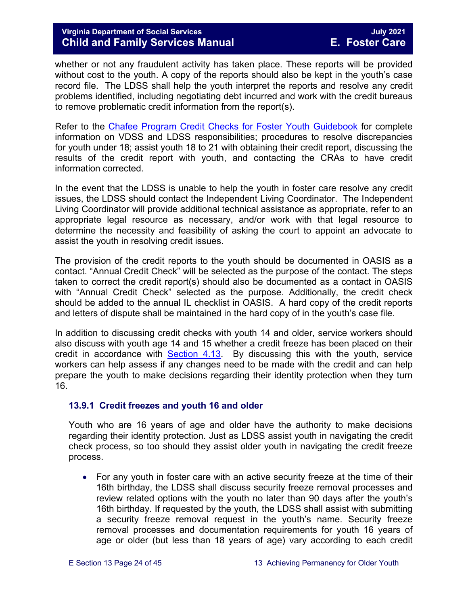whether or not any fraudulent activity has taken place. These reports will be provided without cost to the youth. A copy of the reports should also be kept in the youth's case record file. The LDSS shall help the youth interpret the reports and resolve any credit problems identified, including negotiating debt incurred and work with the credit bureaus to remove problematic credit information from the report(s).

Refer to the [Chafee Program Credit Checks for Foster](https://fusion.dss.virginia.gov/Portals/%5Bdfs%5D/Files/Foster%20Care/Job%20Aids%20%26%20Resources/Credit_Checks_Guidebook_.pdf) Youth Guidebook for complete information on VDSS and LDSS responsibilities; procedures to resolve discrepancies for youth under 18; assist youth 18 to 21 with obtaining their credit report, discussing the results of the credit report with youth, and contacting the CRAs to have credit information corrected.

In the event that the LDSS is unable to help the youth in foster care resolve any credit issues, the LDSS should contact the Independent Living Coordinator. The Independent Living Coordinator will provide additional technical assistance as appropriate, refer to an appropriate legal resource as necessary, and/or work with that legal resource to determine the necessity and feasibility of asking the court to appoint an advocate to assist the youth in resolving credit issues.

The provision of the credit reports to the youth should be documented in OASIS as a contact. "Annual Credit Check" will be selected as the purpose of the contact. The steps taken to correct the credit report(s) should also be documented as a contact in OASIS with "Annual Credit Check" selected as the purpose. Additionally, the credit check should be added to the annual IL checklist in OASIS. A hard copy of the credit reports and letters of dispute shall be maintained in the hard copy of in the youth's case file.

In addition to discussing credit checks with youth 14 and older, service workers should also discuss with youth age 14 and 15 whether a credit freeze has been placed on their credit in accordance with [Section 4.13.](https://fusion.dss.virginia.gov/Portals/%5bdfs%5d/Files/DFS%20Manuals/Foster%20Care%20Manuals/Foster%20Care%20Manual%2007-2020/Final%20Foster%20Care%20Manual%2007-2020/section_4_opening_and_maintaining_case.pdf#page=27) By discussing this with the youth, service workers can help assess if any changes need to be made with the credit and can help prepare the youth to make decisions regarding their identity protection when they turn 16.

#### <span id="page-23-0"></span>**13.9.1 Credit freezes and youth 16 and older**

Youth who are 16 years of age and older have the authority to make decisions regarding their identity protection. Just as LDSS assist youth in navigating the credit check process, so too should they assist older youth in navigating the credit freeze process.

• For any youth in foster care with an active security freeze at the time of their 16th birthday, the LDSS shall discuss security freeze removal processes and review related options with the youth no later than 90 days after the youth's 16th birthday. If requested by the youth, the LDSS shall assist with submitting a security freeze removal request in the youth's name. Security freeze removal processes and documentation requirements for youth 16 years of age or older (but less than 18 years of age) vary according to each credit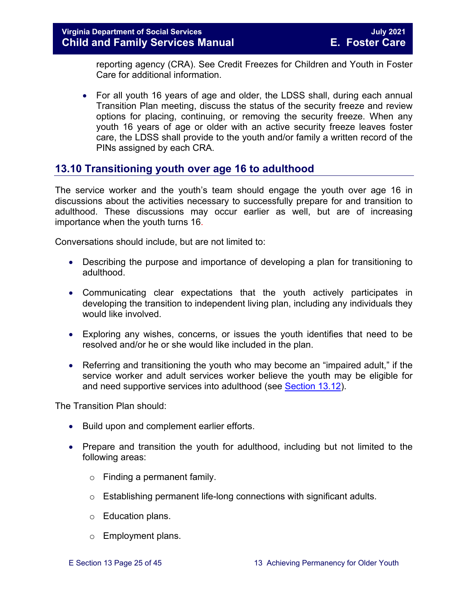reporting agency (CRA). See Credit Freezes for Children and Youth in Foster Care for additional information.

• For all youth 16 years of age and older, the LDSS shall, during each annual Transition Plan meeting, discuss the status of the security freeze and review options for placing, continuing, or removing the security freeze. When any youth 16 years of age or older with an active security freeze leaves foster care, the LDSS shall provide to the youth and/or family a written record of the PINs assigned by each CRA.

## <span id="page-24-0"></span>**13.10 Transitioning youth over age 16 to adulthood**

The service worker and the youth's team should engage the youth over age 16 in discussions about the activities necessary to successfully prepare for and transition to adulthood. These discussions may occur earlier as well, but are of increasing importance when the youth turns 16.

Conversations should include, but are not limited to:

- Describing the purpose and importance of developing a plan for transitioning to adulthood.
- Communicating clear expectations that the youth actively participates in developing the transition to independent living plan, including any individuals they would like involved.
- Exploring any wishes, concerns, or issues the youth identifies that need to be resolved and/or he or she would like included in the plan.
- Referring and transitioning the youth who may become an "impaired adult," if the service worker and adult services worker believe the youth may be eligible for and need supportive services into adulthood (see [Section 13.12\)](#page-30-0).

The Transition Plan should:

- Build upon and complement earlier efforts.
- Prepare and transition the youth for adulthood, including but not limited to the following areas:
	- o Finding a permanent family.
	- o Establishing permanent life-long connections with significant adults.
	- o Education plans.
	- o Employment plans.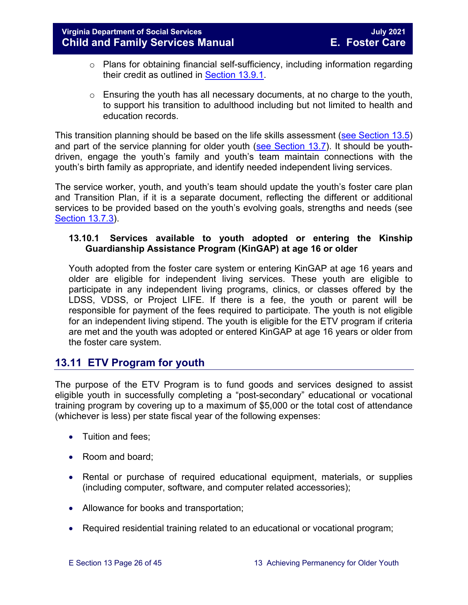- o Plans for obtaining financial self-sufficiency, including information regarding their credit as outlined in [Section 13.9.1.](#page-23-0)
- $\circ$  Ensuring the youth has all necessary documents, at no charge to the youth, to support his transition to adulthood including but not limited to health and education records.

This transition planning should be based on the life skills assessment (see [Section 13.5\)](#page-10-1) and part of the service planning for older youth [\(see Section 13.7\)](#page-16-0). It should be youthdriven, engage the youth's family and youth's team maintain connections with the youth's birth family as appropriate, and identify needed independent living services.

The service worker, youth, and youth's team should update the youth's foster care plan and Transition Plan, if it is a separate document, reflecting the different or additional services to be provided based on the youth's evolving goals, strengths and needs (see [Section 13.7.3\)](#page-19-1).

#### **13.10.1 Services available to youth adopted or entering the Kinship Guardianship Assistance Program (KinGAP) at age 16 or older**

Youth adopted from the foster care system or entering KinGAP at age 16 years and older are eligible for independent living services. These youth are eligible to participate in any independent living programs, clinics, or classes offered by the LDSS, VDSS, or Project LIFE. If there is a fee, the youth or parent will be responsible for payment of the fees required to participate. The youth is not eligible for an independent living stipend. The youth is eligible for the ETV program if criteria are met and the youth was adopted or entered KinGAP at age 16 years or older from the foster care system.

## <span id="page-25-0"></span>**13.11 ETV Program for youth**

The purpose of the ETV Program is to fund goods and services designed to assist eligible youth in successfully completing a "post-secondary" educational or vocational training program by covering up to a maximum of \$5,000 or the total cost of attendance (whichever is less) per state fiscal year of the following expenses:

- Tuition and fees;
- Room and board;
- Rental or purchase of required educational equipment, materials, or supplies (including computer, software, and computer related accessories);
- Allowance for books and transportation;
- Required residential training related to an educational or vocational program;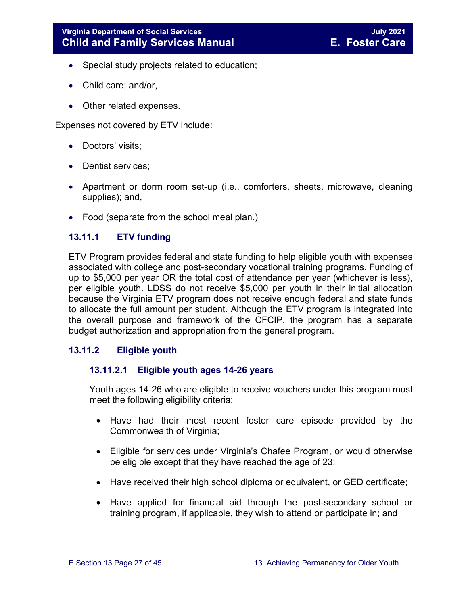- Special study projects related to education;
- Child care; and/or,
- Other related expenses.

Expenses not covered by ETV include:

- Doctors' visits;
- Dentist services;
- Apartment or dorm room set-up (i.e., comforters, sheets, microwave, cleaning supplies); and,
- Food (separate from the school meal plan.)

#### <span id="page-26-0"></span>**13.11.1 ETV funding**

ETV Program provides federal and state funding to help eligible youth with expenses associated with college and post-secondary vocational training programs. Funding of up to \$5,000 per year OR the total cost of attendance per year (whichever is less), per eligible youth. LDSS do not receive \$5,000 per youth in their initial allocation because the Virginia ETV program does not receive enough federal and state funds to allocate the full amount per student. Although the ETV program is integrated into the overall purpose and framework of the CFCIP, the program has a separate budget authorization and appropriation from the general program.

#### <span id="page-26-1"></span>**13.11.2 Eligible youth**

#### **13.11.2.1 Eligible youth ages 14-26 years**

Youth ages 14-26 who are eligible to receive vouchers under this program must meet the following eligibility criteria:

- Have had their most recent foster care episode provided by the Commonwealth of Virginia;
- Eligible for services under Virginia's Chafee Program, or would otherwise be eligible except that they have reached the age of 23;
- Have received their high school diploma or equivalent, or GED certificate;
- Have applied for financial aid through the post-secondary school or training program, if applicable, they wish to attend or participate in; and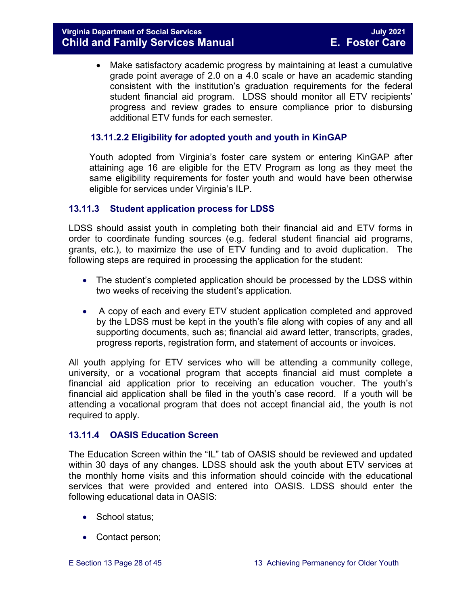• Make satisfactory academic progress by maintaining at least a cumulative grade point average of 2.0 on a 4.0 scale or have an academic standing consistent with the institution's graduation requirements for the federal student financial aid program. LDSS should monitor all ETV recipients' progress and review grades to ensure compliance prior to disbursing additional ETV funds for each semester.

#### **13.11.2.2 Eligibility for adopted youth and youth in KinGAP**

Youth adopted from Virginia's foster care system or entering KinGAP after attaining age 16 are eligible for the ETV Program as long as they meet the same eligibility requirements for foster youth and would have been otherwise eligible for services under Virginia's ILP.

#### <span id="page-27-0"></span>**13.11.3 Student application process for LDSS**

LDSS should assist youth in completing both their financial aid and ETV forms in order to coordinate funding sources (e.g. federal student financial aid programs, grants, etc.), to maximize the use of ETV funding and to avoid duplication. The following steps are required in processing the application for the student:

- The student's completed application should be processed by the LDSS within two weeks of receiving the student's application.
- A copy of each and every ETV student application completed and approved by the LDSS must be kept in the youth's file along with copies of any and all supporting documents, such as; financial aid award letter, transcripts, grades, progress reports, registration form, and statement of accounts or invoices.

All youth applying for ETV services who will be attending a community college, university, or a vocational program that accepts financial aid must complete a financial aid application prior to receiving an education voucher. The youth's financial aid application shall be filed in the youth's case record. If a youth will be attending a vocational program that does not accept financial aid, the youth is not required to apply.

#### <span id="page-27-1"></span>**13.11.4 OASIS Education Screen**

The Education Screen within the "IL" tab of OASIS should be reviewed and updated within 30 days of any changes. LDSS should ask the youth about ETV services at the monthly home visits and this information should coincide with the educational services that were provided and entered into OASIS. LDSS should enter the following educational data in OASIS:

- School status;
- Contact person;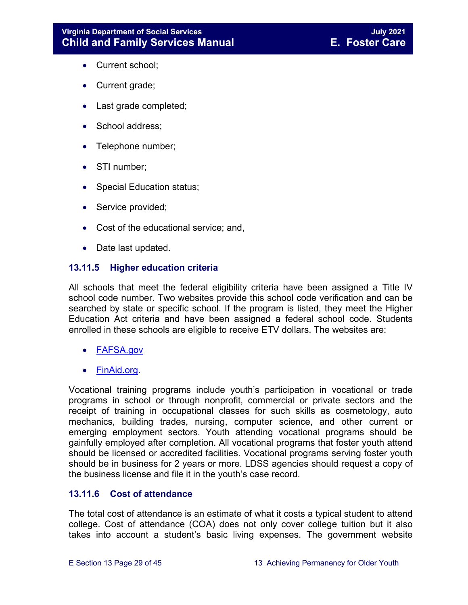- Current school;
- Current grade;
- Last grade completed;
- School address;
- Telephone number;
- STI number;
- Special Education status;
- Service provided;
- Cost of the educational service; and,
- Date last updated.

#### <span id="page-28-0"></span>**13.11.5 Higher education criteria**

All schools that meet the federal eligibility criteria have been assigned a Title IV school code number. Two websites provide this school code verification and can be searched by state or specific school. If the program is listed, they meet the Higher Education Act criteria and have been assigned a federal school code. Students enrolled in these schools are eligible to receive ETV dollars. The websites are:

- [FAFSA.gov](https://fafsa.ed.gov/FAFSA/app/schoolSearch?locale=en_EN)
- [FinAid.org.](http://www.finaid.org/)

Vocational training programs include youth's participation in vocational or trade programs in school or through nonprofit, commercial or private sectors and the receipt of training in occupational classes for such skills as cosmetology, auto mechanics, building trades, nursing, computer science, and other current or emerging employment sectors. Youth attending vocational programs should be gainfully employed after completion. All vocational programs that foster youth attend should be licensed or accredited facilities. Vocational programs serving foster youth should be in business for 2 years or more. LDSS agencies should request a copy of the business license and file it in the youth's case record.

#### <span id="page-28-1"></span>**13.11.6 Cost of attendance**

The total cost of attendance is an estimate of what it costs a typical student to attend college. Cost of attendance (COA) does not only cover college tuition but it also takes into account a student's basic living expenses. The government website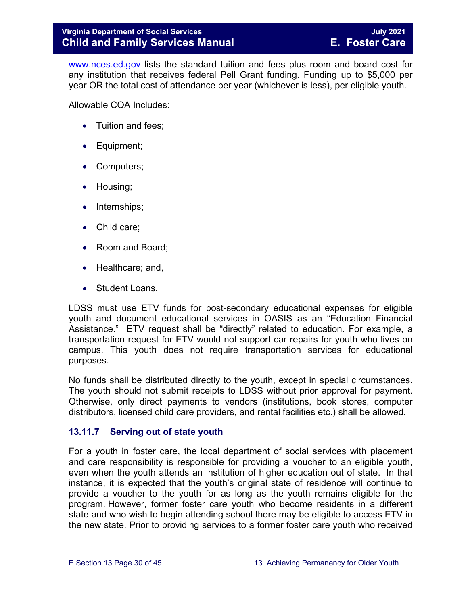[www.nces.ed.gov](http://nces.ed.gov/) lists the standard tuition and fees plus room and board cost for any institution that receives federal Pell Grant funding. Funding up to \$5,000 per year OR the total cost of attendance per year (whichever is less), per eligible youth.

Allowable COA Includes:

- Tuition and fees;
- Equipment;
- Computers;
- Housing;
- Internships;
- Child care;
- Room and Board;
- Healthcare; and,
- Student Loans.

LDSS must use ETV funds for post-secondary educational expenses for eligible youth and document educational services in OASIS as an "Education Financial Assistance." ETV request shall be "directly" related to education. For example, a transportation request for ETV would not support car repairs for youth who lives on campus. This youth does not require transportation services for educational purposes.

No funds shall be distributed directly to the youth, except in special circumstances. The youth should not submit receipts to LDSS without prior approval for payment. Otherwise, only direct payments to vendors (institutions, book stores, computer distributors, licensed child care providers, and rental facilities etc.) shall be allowed.

#### <span id="page-29-0"></span>**13.11.7 Serving out of state youth**

For a youth in foster care, the local department of social services with placement and care responsibility is responsible for providing a voucher to an eligible youth, even when the youth attends an institution of higher education out of state. In that instance, it is expected that the youth's original state of residence will continue to provide a voucher to the youth for as long as the youth remains eligible for the program. However, former foster care youth who become residents in a different state and who wish to begin attending school there may be eligible to access ETV in the new state. Prior to providing services to a former foster care youth who received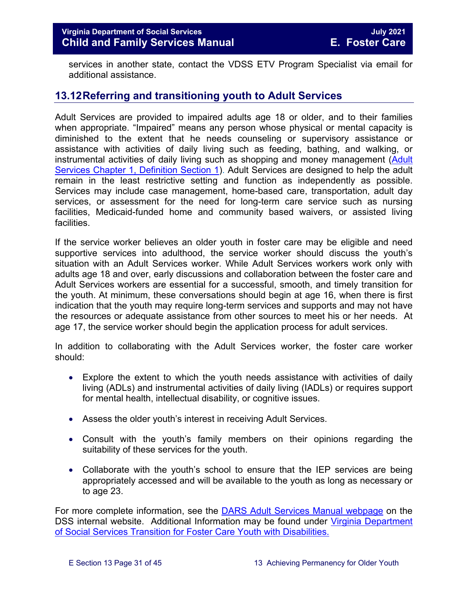services in another state, contact the VDSS ETV Program Specialist via email for additional assistance.

## <span id="page-30-0"></span>**13.12Referring and transitioning youth to Adult Services**

Adult Services are provided to impaired adults age 18 or older, and to their families when appropriate. "Impaired" means any person whose physical or mental capacity is diminished to the extent that he needs counseling or supervisory assistance or assistance with activities of daily living such as feeding, bathing, and walking, or instrumental activities of daily living such as shopping and money management (Adult [Services Chapter 1, Definition Section 1\)](http://www.dss.virginia.gov/files/division/dfs/as/as_intro_page/manuals/as/chapter_1_introduction_2016.pdf). Adult Services are designed to help the adult remain in the least restrictive setting and function as independently as possible. Services may include case management, home-based care, transportation, adult day services, or assessment for the need for long-term care service such as nursing facilities, Medicaid-funded home and community based waivers, or assisted living facilities.

If the service worker believes an older youth in foster care may be eligible and need supportive services into adulthood, the service worker should discuss the youth's situation with an Adult Services worker. While Adult Services workers work only with adults age 18 and over, early discussions and collaboration between the foster care and Adult Services workers are essential for a successful, smooth, and timely transition for the youth. At minimum, these conversations should begin at age 16, when there is first indication that the youth may require long-term services and supports and may not have the resources or adequate assistance from other sources to meet his or her needs. At age 17, the service worker should begin the application process for adult services.

In addition to collaborating with the Adult Services worker, the foster care worker should:

- Explore the extent to which the youth needs assistance with activities of daily living (ADLs) and instrumental activities of daily living (IADLs) or requires support for mental health, intellectual disability, or cognitive issues.
- Assess the older youth's interest in receiving Adult Services.
- Consult with the youth's family members on their opinions regarding the suitability of these services for the youth.
- Collaborate with the youth's school to ensure that the IEP services are being appropriately accessed and will be available to the youth as long as necessary or to age 23.

For more complete information, see the [DARS Adult Services Manual webpage](https://fusion.dss.virginia.gov/dars/DARS-Home/ADULT-SERVICES/Adult-Services-Manuals) on the DSS internal website. Additional Information may be found under Virginia Department [of Social Services Transition](https://fusion.dss.virginia.gov/Portals/%5Bdfs%5D/Files/Foster%20Care/Job%20Aids%20%26%20Resources/Strategies%20to%20Support%20A%20Successful%20Transition%20for%20Youth%20with%20Disabilities%20in%20Foster%20Care.pdf) for Foster Care Youth with Disabilities.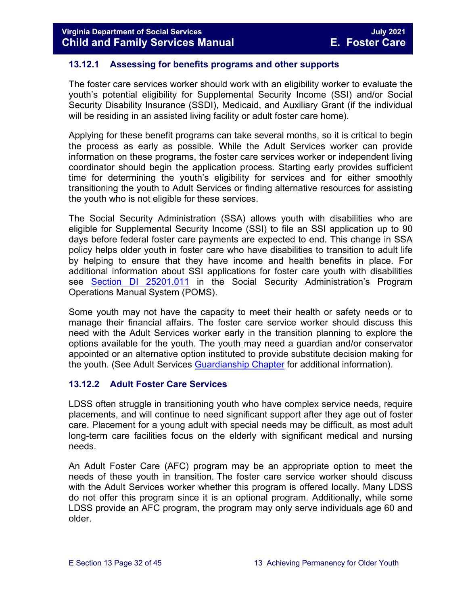#### <span id="page-31-0"></span>**13.12.1 Assessing for benefits programs and other supports**

The foster care services worker should work with an eligibility worker to evaluate the youth's potential eligibility for Supplemental Security Income (SSI) and/or Social Security Disability Insurance (SSDI), Medicaid, and Auxiliary Grant (if the individual will be residing in an assisted living facility or adult foster care home).

Applying for these benefit programs can take several months, so it is critical to begin the process as early as possible. While the Adult Services worker can provide information on these programs, the foster care services worker or independent living coordinator should begin the application process. Starting early provides sufficient time for determining the youth's eligibility for services and for either smoothly transitioning the youth to Adult Services or finding alternative resources for assisting the youth who is not eligible for these services.

The Social Security Administration (SSA) allows youth with disabilities who are eligible for Supplemental Security Income (SSI) to file an SSI application up to 90 days before federal foster care payments are expected to end. This change in SSA policy helps older youth in foster care who have disabilities to transition to adult life by helping to ensure that they have income and health benefits in place. For additional information about SSI applications for foster care youth with disabilities see [Section DI 25201.011](https://secure.ssa.gov/apps10/poms.nsf/subchapterlist!openview&restricttocategory=04252) in the Social Security Administration's Program Operations Manual System (POMS).

Some youth may not have the capacity to meet their health or safety needs or to manage their financial affairs. The foster care service worker should discuss this need with the Adult Services worker early in the transition planning to explore the options available for the youth. The youth may need a guardian and/or conservator appointed or an alternative option instituted to provide substitute decision making for the youth. (See Adult Services [Guardianship Chapter](https://fusion.dss.virginia.gov/Portals/%5Bdars%5D/Files/Chapter%207-Guardianship.pdf) for additional information).

#### <span id="page-31-1"></span>**13.12.2 Adult Foster Care Services**

LDSS often struggle in transitioning youth who have complex service needs, require placements, and will continue to need significant support after they age out of foster care. Placement for a young adult with special needs may be difficult, as most adult long-term care facilities focus on the elderly with significant medical and nursing needs.

An Adult Foster Care (AFC) program may be an appropriate option to meet the needs of these youth in transition. The foster care service worker should discuss with the Adult Services worker whether this program is offered locally. Many LDSS do not offer this program since it is an optional program. Additionally, while some LDSS provide an AFC program, the program may only serve individuals age 60 and older.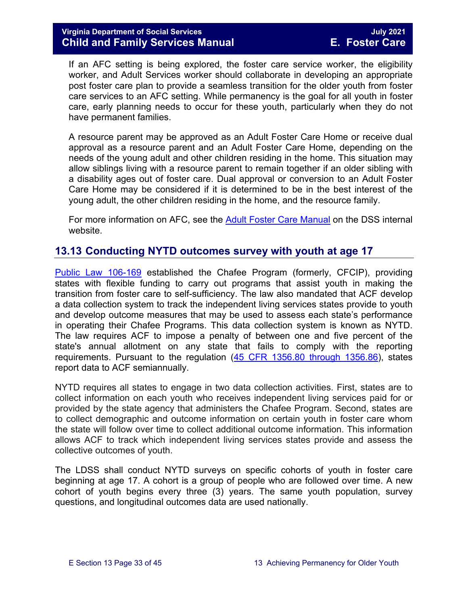If an AFC setting is being explored, the foster care service worker, the eligibility worker, and Adult Services worker should collaborate in developing an appropriate post foster care plan to provide a seamless transition for the older youth from foster care services to an AFC setting. While permanency is the goal for all youth in foster care, early planning needs to occur for these youth, particularly when they do not have permanent families.

A resource parent may be approved as an Adult Foster Care Home or receive dual approval as a resource parent and an Adult Foster Care Home, depending on the needs of the young adult and other children residing in the home. This situation may allow siblings living with a resource parent to remain together if an older sibling with a disability ages out of foster care. Dual approval or conversion to an Adult Foster Care Home may be considered if it is determined to be in the best interest of the young adult, the other children residing in the home, and the resource family.

For more information on AFC, see the [Adult Foster Care Manual](https://fusion.dss.virginia.gov/Portals/%5Bdars%5D/Files/Chapter%204-Long-term%20Care%20Services.pdf#page=13) on the DSS internal website.

## <span id="page-32-0"></span>**13.13 Conducting NYTD outcomes survey with youth at age 17**

[Public Law 106-169](https://www.gpo.gov/fdsys/pkg/PLAW-106publ169/pdf/PLAW-106publ169.pdf) established the Chafee Program (formerly, CFCIP), providing states with flexible funding to carry out programs that assist youth in making the transition from foster care to self-sufficiency. The law also mandated that ACF develop a data collection system to track the independent living services states provide to youth and develop outcome measures that may be used to assess each state's performance in operating their Chafee Programs. This data collection system is known as NYTD. The law requires ACF to impose a penalty of between one and five percent of the state's annual allotment on any state that fails to comply with the reporting requirements. Pursuant to the regulation [\(45 CFR 1356.80 through 1356.86\)](http://www.ecfr.gov/cgi-bin/retrieveECFR?gp=1&SID=3d9be8b33d08994a45cff8aaff9f9476&ty=HTML&h=L&mc=true&r=PART&n=pt45.4.1356), states report data to ACF semiannually.

NYTD requires all states to engage in two data collection activities. First, states are to collect information on each youth who receives independent living services paid for or provided by the state agency that administers the Chafee Program. Second, states are to collect demographic and outcome information on certain youth in foster care whom the state will follow over time to collect additional outcome information. This information allows ACF to track which independent living services states provide and assess the collective outcomes of youth.

The LDSS shall conduct NYTD surveys on specific cohorts of youth in foster care beginning at age 17. A cohort is a group of people who are followed over time. A new cohort of youth begins every three (3) years. The same youth population, survey questions, and longitudinal outcomes data are used nationally.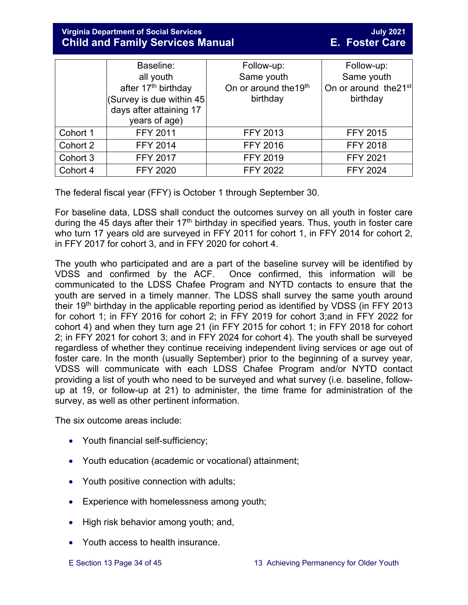## **Virginia Department of Social Services July 2021 Child and Family Services Manual**

|          | Baseline:                                                | Follow-up:            | Follow-up:                        |
|----------|----------------------------------------------------------|-----------------------|-----------------------------------|
|          | all youth                                                | Same youth            | Same youth                        |
|          | after 17 <sup>th</sup> birthday                          | On or around the 19th | On or around the 21 <sup>st</sup> |
|          | $ $ (Survey is due within 45)<br>days after attaining 17 | birthday              | birthday                          |
|          | years of age)                                            |                       |                                   |
| Cohort 1 | FFY 2011                                                 | <b>FFY 2013</b>       | <b>FFY 2015</b>                   |
| Cohort 2 | <b>FFY 2014</b>                                          | <b>FFY 2016</b>       | <b>FFY 2018</b>                   |
| Cohort 3 | <b>FFY 2017</b>                                          | <b>FFY 2019</b>       | <b>FFY 2021</b>                   |
| Cohort 4 | <b>FFY 2020</b>                                          | <b>FFY 2022</b>       | <b>FFY 2024</b>                   |

The federal fiscal year (FFY) is October 1 through September 30.

For baseline data, LDSS shall conduct the outcomes survey on all youth in foster care during the 45 days after their  $17<sup>th</sup>$  birthday in specified years. Thus, youth in foster care who turn 17 years old are surveyed in FFY 2011 for cohort 1, in FFY 2014 for cohort 2, in FFY 2017 for cohort 3, and in FFY 2020 for cohort 4.

The youth who participated and are a part of the baseline survey will be identified by VDSS and confirmed by the ACF. Once confirmed, this information will be communicated to the LDSS Chafee Program and NYTD contacts to ensure that the youth are served in a timely manner. The LDSS shall survey the same youth around their 19<sup>th</sup> birthday in the applicable reporting period as identified by VDSS (in FFY 2013 for cohort 1; in FFY 2016 for cohort 2; in FFY 2019 for cohort 3;and in FFY 2022 for cohort 4) and when they turn age 21 (in FFY 2015 for cohort 1; in FFY 2018 for cohort 2; in FFY 2021 for cohort 3; and in FFY 2024 for cohort 4). The youth shall be surveyed regardless of whether they continue receiving independent living services or age out of foster care. In the month (usually September) prior to the beginning of a survey year, VDSS will communicate with each LDSS Chafee Program and/or NYTD contact providing a list of youth who need to be surveyed and what survey (i.e. baseline, followup at 19, or follow-up at 21) to administer, the time frame for administration of the survey, as well as other pertinent information.

The six outcome areas include:

- Youth financial self-sufficiency;
- Youth education (academic or vocational) attainment;
- Youth positive connection with adults;
- Experience with homelessness among youth;
- High risk behavior among youth; and,
- Youth access to health insurance.
-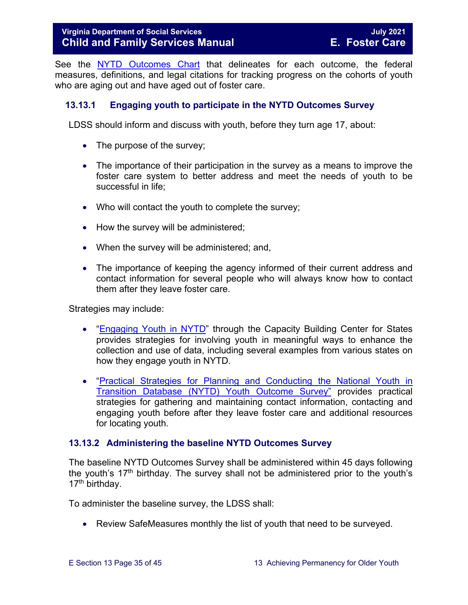#### **Virginia Department of Social Services** Manual Communication of Tuly 2021 **Child and Family Services Manual E. Foster Care**

See the [NYTD Outcomes Chart](https://fusion.dss.virginia.gov/dfs/DFS-Home/Foster-Care/Services-for-Older-Youth#NYTD) that delineates for each outcome, the federal measures, definitions, and legal citations for tracking progress on the cohorts of youth who are aging out and have aged out of foster care.

#### <span id="page-34-0"></span>**13.13.1 Engaging youth to participate in the NYTD Outcomes Survey**

LDSS should inform and discuss with youth, before they turn age 17, about:

- The purpose of the survey;
- The importance of their participation in the survey as a means to improve the foster care system to better address and meet the needs of youth to be successful in life;
- Who will contact the youth to complete the survey;
- How the survey will be administered;
- When the survey will be administered; and,
- The importance of keeping the agency informed of their current address and contact information for several people who will always know how to contact them after they leave foster care.

Strategies may include:

- ["Engaging Youth in NYTD"](https://library.childwelfare.gov/cwig/ws/library/docs/capacity/Blob/107700.pdf?r=1&rpp=25&upp=0&w=NATIVE%28%27SIMPLE_SRCH+ph+is+%27%27nytd%27%27%27%29&m=1&order=native%28%27year%2FDescend%27%29) through the Capacity Building Center for States provides strategies for involving youth in meaningful ways to enhance the collection and use of data, including several examples from various states on how they engage youth in NYTD.
- ["Practical Strategies for Planning and Conducting the National Youth in](http://www.pacwrc.pitt.edu/Curriculum/202%20National%20Youth%20in%20Transition%20Database/Trnr%20Rsrcs/TR02_PrctclStrtgsFrTrckngAndLctngYth.pdf)  [Transition Database \(NYTD\) Youth](http://www.pacwrc.pitt.edu/Curriculum/202%20National%20Youth%20in%20Transition%20Database/Trnr%20Rsrcs/TR02_PrctclStrtgsFrTrckngAndLctngYth.pdf) Outcome Survey" provides practical strategies for gathering and maintaining contact information, contacting and engaging youth before after they leave foster care and additional resources for locating youth.

#### <span id="page-34-1"></span>**13.13.2 Administering the baseline NYTD Outcomes Survey**

The baseline NYTD Outcomes Survey shall be administered within 45 days following the youth's  $17<sup>th</sup>$  birthday. The survey shall not be administered prior to the youth's 17<sup>th</sup> birthday.

To administer the baseline survey, the LDSS shall:

• Review SafeMeasures monthly the list of youth that need to be surveyed.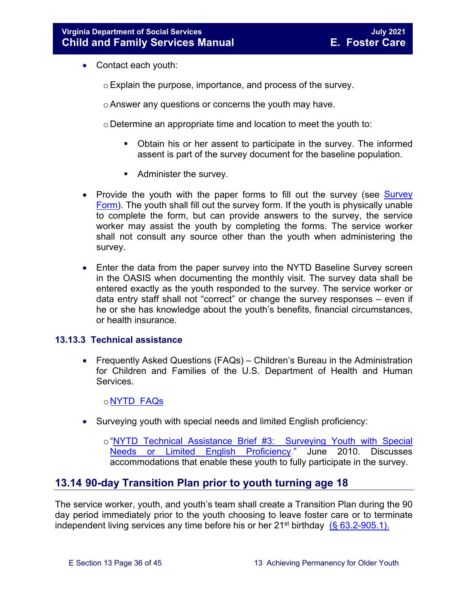- Contact each youth:
	- oExplain the purpose, importance, and process of the survey.
	- oAnswer any questions or concerns the youth may have.
	- o Determine an appropriate time and location to meet the youth to:
		- Obtain his or her assent to participate in the survey. The informed assent is part of the survey document for the baseline population.
		- Administer the survey.
- Provide the youth with the paper forms to fill out the survey (see Survey [Form\)](https://fusion.dss.virginia.gov/dfs/DFS-Home/Foster-Care/Services-for-Older-Youth#NYTD). The youth shall fill out the survey form. If the youth is physically unable to complete the form, but can provide answers to the survey, the service worker may assist the youth by completing the forms. The service worker shall not consult any source other than the youth when administering the survey.
- Enter the data from the paper survey into the NYTD Baseline Survey screen in the OASIS when documenting the monthly visit. The survey data shall be entered exactly as the youth responded to the survey. The service worker or data entry staff shall not "correct" or change the survey responses – even if he or she has knowledge about the youth's benefits, financial circumstances, or health insurance.

#### <span id="page-35-0"></span>**13.13.3 Technical assistance**

• Frequently Asked Questions (FAQs) – Children's Bureau in the Administration for Children and Families of the U.S. Department of Health and Human Services.

#### o[NYTD FAQs](https://www.childwelfare.gov/cb/research-data-technology/reporting-systems/nytd/faq/)

• Surveying youth with special needs and limited English proficiency:

o["NYTD Technical Assistance Brief #3: Surveying Youth with Special](http://www.acf.hhs.gov/programs/cb/resource/nytd-data-brief-3)  [Needs or Limited English Proficiency.](http://www.acf.hhs.gov/programs/cb/resource/nytd-data-brief-3)" June 2010. Discusses accommodations that enable these youth to fully participate in the survey.

#### <span id="page-35-1"></span>**13.14 90-day Transition Plan prior to youth turning age 18**

The service worker, youth, and youth's team shall create a Transition Plan during the 90 day period immediately prior to the youth choosing to leave foster care or to terminate independent living services any time before his or her  $21^{st}$  birthday (§ 63.2-905.1).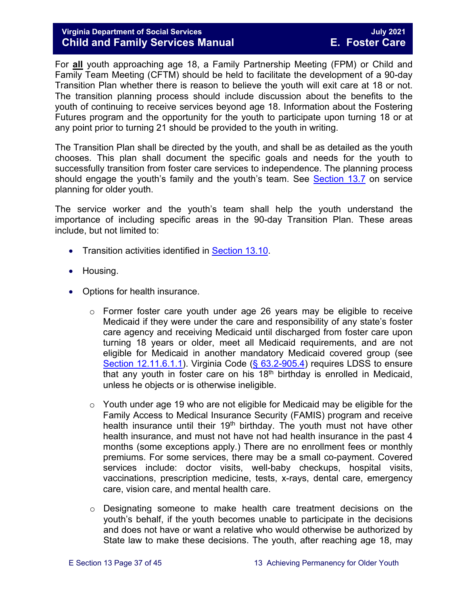#### **Virginia Department of Social Services July 2021 Child and Family Services Manual**

For **all** youth approaching age 18, a Family Partnership Meeting (FPM) or Child and Family Team Meeting (CFTM) should be held to facilitate the development of a 90-day Transition Plan whether there is reason to believe the youth will exit care at 18 or not. The transition planning process should include discussion about the benefits to the youth of continuing to receive services beyond age 18. Information about the Fostering Futures program and the opportunity for the youth to participate upon turning 18 or at any point prior to turning 21 should be provided to the youth in writing.

The Transition Plan shall be directed by the youth, and shall be as detailed as the youth chooses. This plan shall document the specific goals and needs for the youth to successfully transition from foster care services to independence. The planning process should engage the youth's family and the youth's team. See [Section 13.7](#page-16-0) on service planning for older youth.

The service worker and the youth's team shall help the youth understand the importance of including specific areas in the 90-day Transition Plan. These areas include, but not limited to:

- Transition activities identified in [Section 13.10.](#page-24-0)
- Housing.
- Options for health insurance.
	- o Former foster care youth under age 26 years may be eligible to receive Medicaid if they were under the care and responsibility of any state's foster care agency and receiving Medicaid until discharged from foster care upon turning 18 years or older, meet all Medicaid requirements, and are not eligible for Medicaid in another mandatory Medicaid covered group (see [Section 12.11.6.1.1\)](https://fusion.dss.virginia.gov/Portals/%5bdfs%5d/Files/DFS%20Manuals/Foster%20Care%20Manuals/Foster%20Care%20Manual%2007-2020/Final%20Foster%20Care%20Manual%2007-2020/section_12_identifying_services_to_be_provided.pdf#page=31). Virginia Code [\(§ 63.2-905.4\)](https://law.lis.virginia.gov/vacode/title63.2/chapter9/section63.2-905.4/) requires LDSS to ensure that any youth in foster care on his  $18<sup>th</sup>$  birthday is enrolled in Medicaid, unless he objects or is otherwise ineligible.
	- $\circ$  Youth under age 19 who are not eligible for Medicaid may be eligible for the Family Access to Medical Insurance Security (FAMIS) program and receive health insurance until their  $19<sup>th</sup>$  birthday. The youth must not have other health insurance, and must not have not had health insurance in the past 4 months (some exceptions apply.) There are no enrollment fees or monthly premiums. For some services, there may be a small co-payment. Covered services include: doctor visits, well-baby checkups, hospital visits, vaccinations, prescription medicine, tests, x-rays, dental care, emergency care, vision care, and mental health care.
	- $\circ$  Designating someone to make health care treatment decisions on the youth's behalf, if the youth becomes unable to participate in the decisions and does not have or want a relative who would otherwise be authorized by State law to make these decisions. The youth, after reaching age 18, may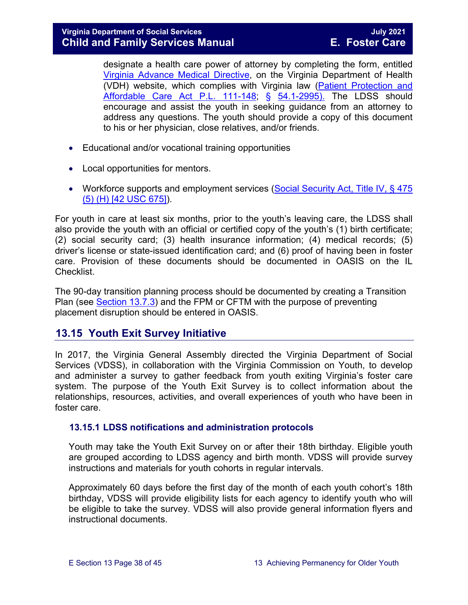designate a health care power of attorney by completing the form, entitled [Virginia Advance Medical Directive,](http://www.vdh.virginia.gov/OLC/documents/2008/pdfs/2005%20advanced%20directive%20form.pdf) on the Virginia Department of Health (VDH) website, which complies with Virginia law [\(Patient Protection and](http://www.gpo.gov/fdsys/pkg/PLAW-111publ148/pdf/PLAW-111publ148.pdf)  [Affordable Care Act P.L. 111-148;](http://www.gpo.gov/fdsys/pkg/PLAW-111publ148/pdf/PLAW-111publ148.pdf) § [54.1-2995\).](https://law.lis.virginia.gov/vacode/54.1-2995/) The LDSS should encourage and assist the youth in seeking guidance from an attorney to address any questions. The youth should provide a copy of this document to his or her physician, close relatives, and/or friends.

- Educational and/or vocational training opportunities
- Local opportunities for mentors.
- Workforce supports and employment services (Social Security Act, Title IV, § 475 [\(5\) \(H\) \[42 USC 675\]\)](http://www.ssa.gov/OP_Home/ssact/title04/0475.htm).

For youth in care at least six months, prior to the youth's leaving care, the LDSS shall also provide the youth with an official or certified copy of the youth's (1) birth certificate; (2) social security card; (3) health insurance information; (4) medical records; (5) driver's license or state-issued identification card; and (6) proof of having been in foster care. Provision of these documents should be documented in OASIS on the IL Checklist.

The 90-day transition planning process should be documented by creating a Transition Plan (see [Section 13.7.3\)](#page-19-1) and the FPM or CFTM with the purpose of preventing placement disruption should be entered in OASIS.

## <span id="page-37-0"></span>**13.15 Youth Exit Survey Initiative**

In 2017, the Virginia General Assembly directed the Virginia Department of Social Services (VDSS), in collaboration with the Virginia Commission on Youth, to develop and administer a survey to gather feedback from youth exiting Virginia's foster care system. The purpose of the Youth Exit Survey is to collect information about the relationships, resources, activities, and overall experiences of youth who have been in foster care.

#### <span id="page-37-1"></span>**13.15.1 LDSS notifications and administration protocols**

Youth may take the Youth Exit Survey on or after their 18th birthday. Eligible youth are grouped according to LDSS agency and birth month. VDSS will provide survey instructions and materials for youth cohorts in regular intervals.

Approximately 60 days before the first day of the month of each youth cohort's 18th birthday, VDSS will provide eligibility lists for each agency to identify youth who will be eligible to take the survey. VDSS will also provide general information flyers and instructional documents.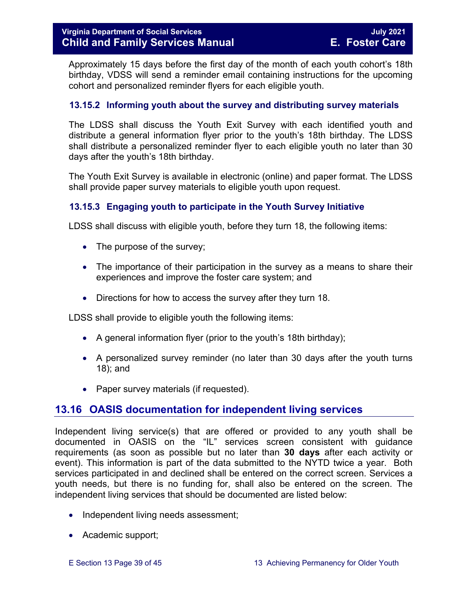Approximately 15 days before the first day of the month of each youth cohort's 18th birthday, VDSS will send a reminder email containing instructions for the upcoming cohort and personalized reminder flyers for each eligible youth.

#### <span id="page-38-0"></span>**13.15.2 Informing youth about the survey and distributing survey materials**

The LDSS shall discuss the Youth Exit Survey with each identified youth and distribute a general information flyer prior to the youth's 18th birthday. The LDSS shall distribute a personalized reminder flyer to each eligible youth no later than 30 days after the youth's 18th birthday.

The Youth Exit Survey is available in electronic (online) and paper format. The LDSS shall provide paper survey materials to eligible youth upon request.

#### <span id="page-38-1"></span>**13.15.3 Engaging youth to participate in the Youth Survey Initiative**

LDSS shall discuss with eligible youth, before they turn 18, the following items:

- The purpose of the survey;
- The importance of their participation in the survey as a means to share their experiences and improve the foster care system; and
- Directions for how to access the survey after they turn 18.

LDSS shall provide to eligible youth the following items:

- A general information flyer (prior to the youth's 18th birthday);
- A personalized survey reminder (no later than 30 days after the youth turns 18); and
- Paper survey materials (if requested).

## <span id="page-38-2"></span>**13.16 OASIS documentation for independent living services**

Independent living service(s) that are offered or provided to any youth shall be documented in OASIS on the "IL" services screen consistent with guidance requirements (as soon as possible but no later than **30 days** after each activity or event). This information is part of the data submitted to the NYTD twice a year. Both services participated in and declined shall be entered on the correct screen. Services a youth needs, but there is no funding for, shall also be entered on the screen. The independent living services that should be documented are listed below:

- Independent living needs assessment;
- Academic support;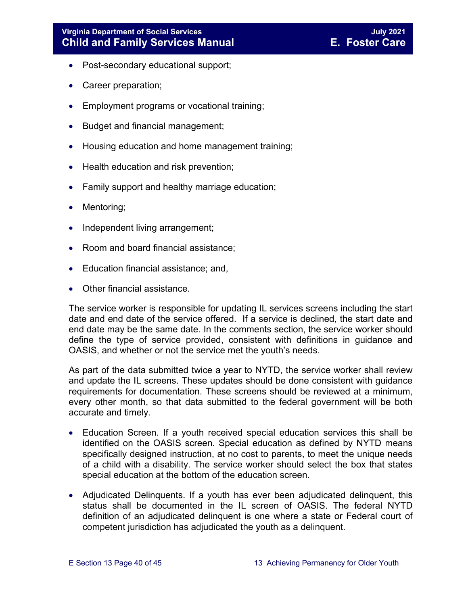- Post-secondary educational support;
- Career preparation;
- Employment programs or vocational training;
- Budget and financial management;
- Housing education and home management training;
- Health education and risk prevention;
- Family support and healthy marriage education;
- Mentoring;
- Independent living arrangement;
- Room and board financial assistance;
- Education financial assistance; and,
- Other financial assistance.

The service worker is responsible for updating IL services screens including the start date and end date of the service offered. If a service is declined, the start date and end date may be the same date. In the comments section, the service worker should define the type of service provided, consistent with definitions in guidance and OASIS, and whether or not the service met the youth's needs.

As part of the data submitted twice a year to NYTD, the service worker shall review and update the IL screens. These updates should be done consistent with guidance requirements for documentation. These screens should be reviewed at a minimum, every other month, so that data submitted to the federal government will be both accurate and timely.

- Education Screen. If a youth received special education services this shall be identified on the OASIS screen. Special education as defined by NYTD means specifically designed instruction, at no cost to parents, to meet the unique needs of a child with a disability. The service worker should select the box that states special education at the bottom of the education screen.
- Adjudicated Delinquents. If a youth has ever been adjudicated delinquent, this status shall be documented in the IL screen of OASIS. The federal NYTD definition of an adjudicated delinquent is one where a state or Federal court of competent jurisdiction has adjudicated the youth as a delinquent.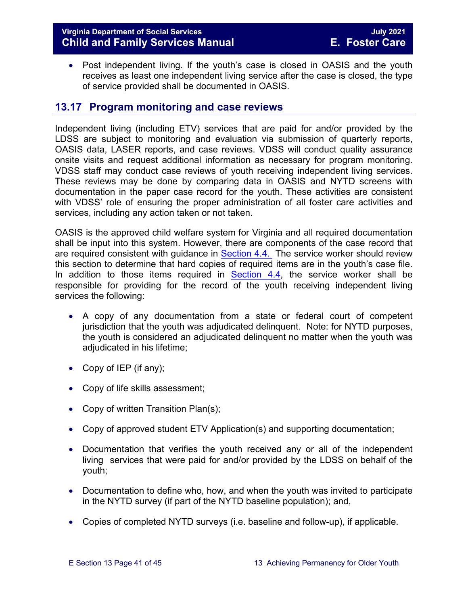#### **Virginia Department of Social Services July 2021 Child and Family Services Manual**

• Post independent living. If the youth's case is closed in OASIS and the youth receives as least one independent living service after the case is closed, the type of service provided shall be documented in OASIS.

## <span id="page-40-0"></span>**13.17 Program monitoring and case reviews**

Independent living (including ETV) services that are paid for and/or provided by the LDSS are subject to monitoring and evaluation via submission of quarterly reports, OASIS data, LASER reports, and case reviews. VDSS will conduct quality assurance onsite visits and request additional information as necessary for program monitoring. VDSS staff may conduct case reviews of youth receiving independent living services. These reviews may be done by comparing data in OASIS and NYTD screens with documentation in the paper case record for the youth. These activities are consistent with VDSS' role of ensuring the proper administration of all foster care activities and services, including any action taken or not taken.

OASIS is the approved child welfare system for Virginia and all required documentation shall be input into this system. However, there are components of the case record that are required consistent with guidance in **Section 4.4.** The service worker should review this section to determine that hard copies of required items are in the youth's case file. In addition to those items required in [Section 4.4,](https://fusion.dss.virginia.gov/Portals/%5bdfs%5d/Files/DFS%20Manuals/Foster%20Care%20Manuals/Foster%20Care%20Manual%2007-2020/Final%20Foster%20Care%20Manual%2007-2020/section_4_opening_and_maintaining_case.pdf#page=5) the service worker shall be responsible for providing for the record of the youth receiving independent living services the following:

- A copy of any documentation from a state or federal court of competent jurisdiction that the youth was adjudicated delinquent. Note: for NYTD purposes, the youth is considered an adjudicated delinquent no matter when the youth was adjudicated in his lifetime;
- Copy of IEP (if any);
- Copy of life skills assessment;
- Copy of written Transition Plan(s);
- Copy of approved student ETV Application(s) and supporting documentation;
- Documentation that verifies the youth received any or all of the independent living services that were paid for and/or provided by the LDSS on behalf of the youth;
- Documentation to define who, how, and when the youth was invited to participate in the NYTD survey (if part of the NYTD baseline population); and,
- Copies of completed NYTD surveys (i.e. baseline and follow-up), if applicable.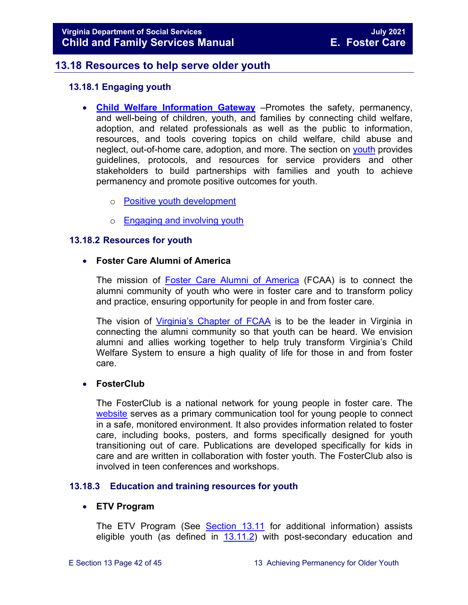## **13.18 Resources to help serve older youth**

#### <span id="page-41-1"></span><span id="page-41-0"></span>**13.18.1 Engaging youth**

- **[Child Welfare Information Gateway](https://www.childwelfare.gov/)** –Promotes the safety, permanency, and well-being of children, youth, and families by connecting child welfare, adoption, and related professionals as well as the public to information, resources, and tools covering topics on child welfare, child abuse and neglect, out-of-home care, adoption, and more. The section on [youth](https://www.childwelfare.gov/topics/systemwide/youth/) provides guidelines, protocols, and resources for service providers and other stakeholders to build partnerships with families and youth to achieve permanency and promote positive outcomes for youth.
	- o [Positive youth development](https://www.childwelfare.gov/topics/systemwide/youth/development/)
	- o [Engaging and involving youth](https://www.childwelfare.gov/topics/systemwide/youth/engagingyouth/)

#### <span id="page-41-2"></span>**13.18.2 Resources for youth**

#### • **Foster Care Alumni of America**

The mission of [Foster Care Alumni of America](http://www.fostercarealumni.org/) (FCAA) is to connect the alumni community of youth who were in foster care and to transform policy and practice, ensuring opportunity for people in and from foster care.

The vision of [Virginia's](http://www.fostercarealumni.org/virginia-chapter/) Chapter of FCAA is to be the leader in Virginia in connecting the alumni community so that youth can be heard. We envision alumni and allies working together to help truly transform Virginia's Child Welfare System to ensure a high quality of life for those in and from foster care.

#### • **FosterClub**

The FosterClub is a national network for young people in foster care. The [website](http://www.fosterclub.com/) serves as a primary communication tool for young people to connect in a safe, monitored environment. It also provides information related to foster care, including books, posters, and forms specifically designed for youth transitioning out of care. Publications are developed specifically for kids in care and are written in collaboration with foster youth. The FosterClub also is involved in teen conferences and workshops.

#### <span id="page-41-3"></span>**13.18.3 Education and training resources for youth**

#### • **ETV Program**

The ETV Program (See [Section 13.11](#page-25-0) for additional information) assists eligible youth (as defined in  $13.11.2$ ) with post-secondary education and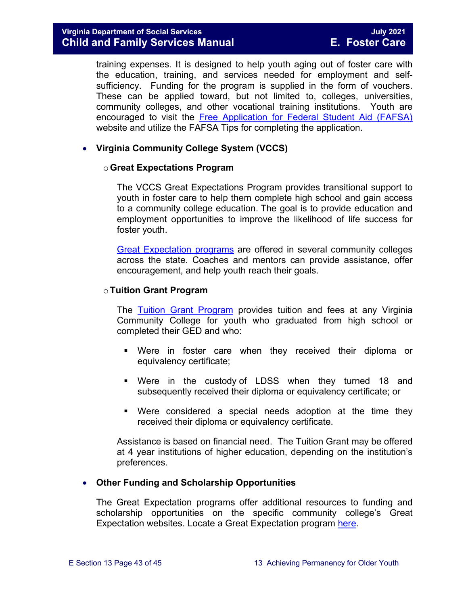training expenses. It is designed to help youth aging out of foster care with the education, training, and services needed for employment and selfsufficiency. Funding for the program is supplied in the form of vouchers. These can be applied toward, but not limited to, colleges, universities, community colleges, and other vocational training institutions. Youth are encouraged to visit the [Free Application for Federal Student Aid \(FAFSA\)](http://www.fafsa.ed.gov/) website and utilize the FAFSA Tips for completing the application.

#### • **Virginia Community College System (VCCS)**

#### o**Great Expectations Program**

The VCCS Great Expectations Program provides transitional support to youth in foster care to help them complete high school and gain access to a community college education. The goal is to provide education and employment opportunities to improve the likelihood of life success for foster youth.

[Great Expectation programs](http://greatexpectations.vccs.edu/) are offered in several community colleges across the state. Coaches and mentors can provide assistance, offer encouragement, and help youth reach their goals.

#### o**Tuition Grant Program**

The [Tuition Grant Program](http://cdn.vccs.edu/wp-content/uploads/2013/07/vatutiongrantflyer.pdf) provides tuition and fees at any Virginia Community College for youth who graduated from high school or completed their GED and who:

- Were in foster care when they received their diploma or equivalency certificate;
- Were in the custody of LDSS when they turned 18 and subsequently received their diploma or equivalency certificate; or
- Were considered a special needs adoption at the time they received their diploma or equivalency certificate.

Assistance is based on financial need. The Tuition Grant may be offered at 4 year institutions of higher education, depending on the institution's preferences.

#### • **Other Funding and Scholarship Opportunities**

The Great Expectation programs offer additional resources to funding and scholarship opportunities on the specific community college's Great Expectation websites. Locate a Great Expectation program [here.](http://greatexpectations.vccs.edu/find-a-college/)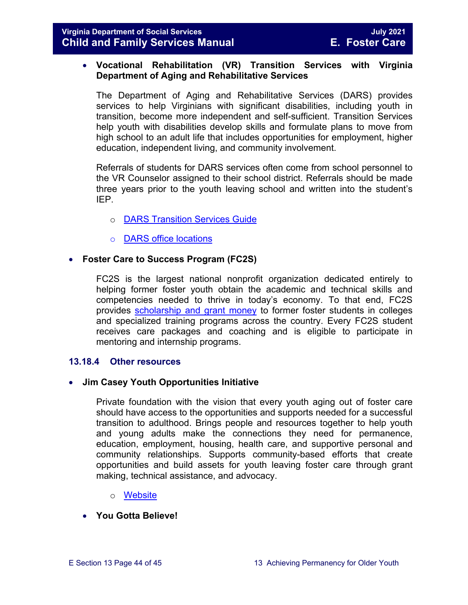#### • **Vocational Rehabilitation (VR) Transition Services with Virginia Department of Aging and Rehabilitative Services**

The Department of Aging and Rehabilitative Services (DARS) provides services to help Virginians with significant disabilities, including youth in transition, become more independent and self-sufficient. Transition Services help youth with disabilities develop skills and formulate plans to move from high school to an adult life that includes opportunities for employment, higher education, independent living, and community involvement.

Referrals of students for DARS services often come from school personnel to the VR Counselor assigned to their school district. Referrals should be made three years prior to the youth leaving school and written into the student's IEP.

- o [DARS Transition Services Guide](https://www.vadars.org/downloads/publications/TransitionServicesGuide.pdf)
- o [DARS office locations](http://www.vadrs.org/office.html)

#### • **Foster Care to Success Program (FC2S)**

FC2S is the largest national nonprofit organization dedicated entirely to helping former foster youth obtain the academic and technical skills and competencies needed to thrive in today's economy. To that end, FC2S provides [scholarship and grant money](http://www.fc2success.org/) to former foster students in colleges and specialized training programs across the country. Every FC2S student receives care packages and coaching and is eligible to participate in mentoring and internship programs.

#### <span id="page-43-0"></span>**13.18.4 Other resources**

#### • **Jim Casey Youth Opportunities Initiative**

Private foundation with the vision that every youth aging out of foster care should have access to the opportunities and supports needed for a successful transition to adulthood. Brings people and resources together to help youth and young adults make the connections they need for permanence, education, employment, housing, health care, and supportive personal and community relationships. Supports community-based efforts that create opportunities and build assets for youth leaving foster care through grant making, technical assistance, and advocacy.

- o [Website](http://www.jimcaseyyouth.org/)
- **You Gotta Believe!**